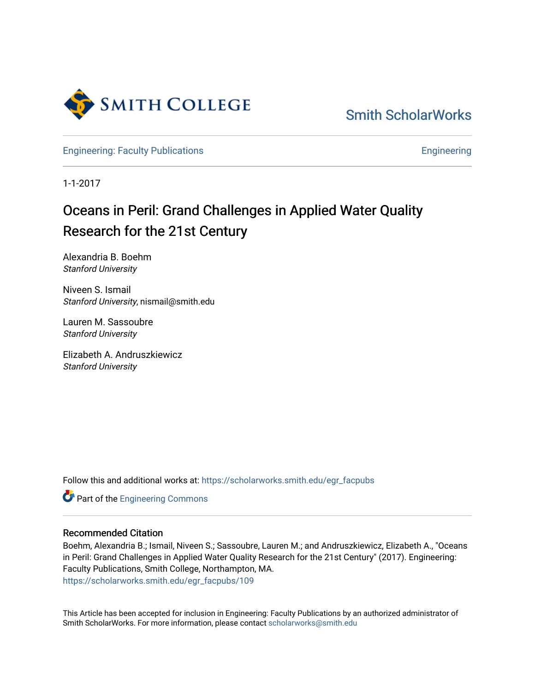

[Smith ScholarWorks](https://scholarworks.smith.edu/) 

[Engineering: Faculty Publications](https://scholarworks.smith.edu/egr_facpubs) **Engineering** 

1-1-2017

# Oceans in Peril: Grand Challenges in Applied Water Quality Research for the 21st Century

Alexandria B. Boehm Stanford University

Niveen S. Ismail Stanford University, nismail@smith.edu

Lauren M. Sassoubre Stanford University

Elizabeth A. Andruszkiewicz Stanford University

Follow this and additional works at: [https://scholarworks.smith.edu/egr\\_facpubs](https://scholarworks.smith.edu/egr_facpubs?utm_source=scholarworks.smith.edu%2Fegr_facpubs%2F109&utm_medium=PDF&utm_campaign=PDFCoverPages) 

**Part of the [Engineering Commons](http://network.bepress.com/hgg/discipline/217?utm_source=scholarworks.smith.edu%2Fegr_facpubs%2F109&utm_medium=PDF&utm_campaign=PDFCoverPages)** 

# Recommended Citation

Boehm, Alexandria B.; Ismail, Niveen S.; Sassoubre, Lauren M.; and Andruszkiewicz, Elizabeth A., "Oceans in Peril: Grand Challenges in Applied Water Quality Research for the 21st Century" (2017). Engineering: Faculty Publications, Smith College, Northampton, MA. [https://scholarworks.smith.edu/egr\\_facpubs/109](https://scholarworks.smith.edu/egr_facpubs/109?utm_source=scholarworks.smith.edu%2Fegr_facpubs%2F109&utm_medium=PDF&utm_campaign=PDFCoverPages) 

This Article has been accepted for inclusion in Engineering: Faculty Publications by an authorized administrator of Smith ScholarWorks. For more information, please contact [scholarworks@smith.edu](mailto:scholarworks@smith.edu)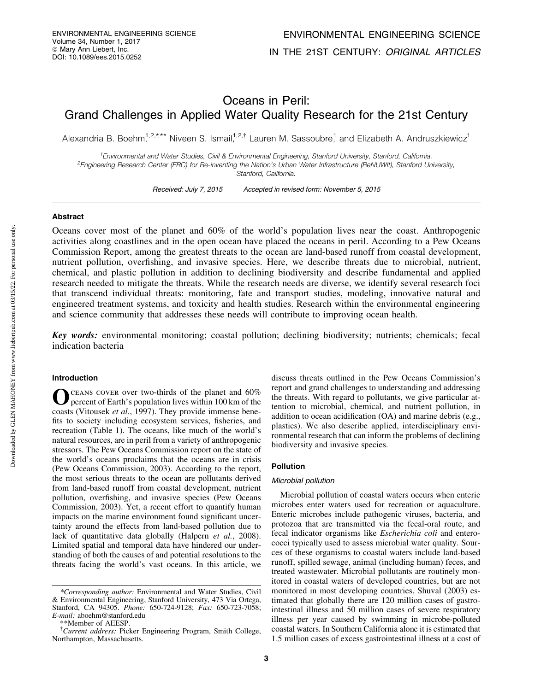# Oceans in Peril: Grand Challenges in Applied Water Quality Research for the 21st Century

Alexandria B. Boehm,<sup>1,2,\*,\*\*</sup> Niveen S. Ismail,<sup>1,2,†</sup> Lauren M. Sassoubre,<sup>1</sup> and Elizabeth A. Andruszkiewicz<sup>1</sup>

1 Environmental and Water Studies, Civil & Environmental Engineering, Stanford University, Stanford, California. <sup>2</sup> <sup>2</sup>Engineering Research Center (ERC) for Re-inventing the Nation's Urban Water Infrastructure (ReNUWIt), Stanford University, Stanford, California.

Received: July 7, 2015 Accepted in revised form: November 5, 2015

# Abstract

Oceans cover most of the planet and 60% of the world's population lives near the coast. Anthropogenic activities along coastlines and in the open ocean have placed the oceans in peril. According to a Pew Oceans Commission Report, among the greatest threats to the ocean are land-based runoff from coastal development, nutrient pollution, overfishing, and invasive species. Here, we describe threats due to microbial, nutrient, chemical, and plastic pollution in addition to declining biodiversity and describe fundamental and applied research needed to mitigate the threats. While the research needs are diverse, we identify several research foci that transcend individual threats: monitoring, fate and transport studies, modeling, innovative natural and engineered treatment systems, and toxicity and health studies. Research within the environmental engineering and science community that addresses these needs will contribute to improving ocean health.

Key words: environmental monitoring; coastal pollution; declining biodiversity; nutrients; chemicals; fecal indication bacteria

### Introduction

OCEANS COVER over two-thirds of the planet and 60% percent of Earth's population lives within 100 km of the coasts (Vitousek *et al.*, 1997). They provide immense benefits to society including ecosystem services, fisheries, and recreation (Table 1). The oceans, like much of the world's natural resources, are in peril from a variety of anthropogenic stressors. The Pew Oceans Commission report on the state of the world's oceans proclaims that the oceans are in crisis (Pew Oceans Commission, 2003). According to the report, the most serious threats to the ocean are pollutants derived from land-based runoff from coastal development, nutrient pollution, overfishing, and invasive species (Pew Oceans Commission, 2003). Yet, a recent effort to quantify human impacts on the marine environment found significant uncertainty around the effects from land-based pollution due to lack of quantitative data globally (Halpern *et al.*, 2008). Limited spatial and temporal data have hindered our understanding of both the causes of and potential resolutions to the threats facing the world's vast oceans. In this article, we

\*\*Member of AEESP.

discuss threats outlined in the Pew Oceans Commission's report and grand challenges to understanding and addressing the threats. With regard to pollutants, we give particular attention to microbial, chemical, and nutrient pollution, in addition to ocean acidification (OA) and marine debris (e.g., plastics). We also describe applied, interdisciplinary environmental research that can inform the problems of declining biodiversity and invasive species.

# Pollution

#### Microbial pollution

Microbial pollution of coastal waters occurs when enteric microbes enter waters used for recreation or aquaculture. Enteric microbes include pathogenic viruses, bacteria, and protozoa that are transmitted via the fecal-oral route, and fecal indicator organisms like *Escherichia coli* and enterococci typically used to assess microbial water quality. Sources of these organisms to coastal waters include land-based runoff, spilled sewage, animal (including human) feces, and treated wastewater. Microbial pollutants are routinely monitored in coastal waters of developed countries, but are not monitored in most developing countries. Shuval (2003) estimated that globally there are 120 million cases of gastrointestinal illness and 50 million cases of severe respiratory illness per year caused by swimming in microbe-polluted coastal waters. In Southern California alone it is estimated that 1.5 million cases of excess gastrointestinal illness at a cost of

*<sup>\*</sup>Corresponding author:* Environmental and Water Studies, Civil & Environmental Engineering, Stanford University, 473 Via Ortega, Stanford, CA 94305. *Phone:* 650-724-9128; *Fax:* 650-723-7058; *E-mail:* aboehm@stanford.edu

<sup>&</sup>lt;sup>†</sup>Current address: Picker Engineering Program, Smith College, Northampton, Massachusetts.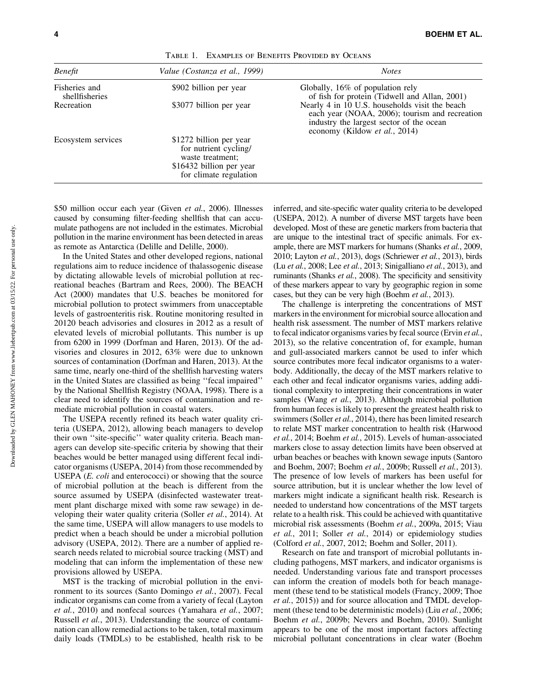| <b>Benefit</b>                  | Value (Costanza et al., 1999)                                                                                              | <b>Notes</b>                                                                                                                                                                  |
|---------------------------------|----------------------------------------------------------------------------------------------------------------------------|-------------------------------------------------------------------------------------------------------------------------------------------------------------------------------|
| Fisheries and<br>shellfisheries | \$902 billion per year                                                                                                     | Globally, 16% of population rely<br>of fish for protein (Tidwell and Allan, 2001)                                                                                             |
| Recreation                      | \$3077 billion per year                                                                                                    | Nearly 4 in 10 U.S. households visit the beach<br>each year (NOAA, 2006); tourism and recreation<br>industry the largest sector of the ocean<br>economy (Kildow et al., 2014) |
| Ecosystem services              | \$1272 billion per year<br>for nutrient cycling/<br>waste treatment;<br>\$16432 billion per year<br>for climate regulation |                                                                                                                                                                               |

\$50 million occur each year (Given *et al.*, 2006). Illnesses caused by consuming filter-feeding shellfish that can accumulate pathogens are not included in the estimates. Microbial pollution in the marine environment has been detected in areas as remote as Antarctica (Delille and Delille, 2000).

In the United States and other developed regions, national regulations aim to reduce incidence of thalassogenic disease by dictating allowable levels of microbial pollution at recreational beaches (Bartram and Rees, 2000). The BEACH Act (2000) mandates that U.S. beaches be monitored for microbial pollution to protect swimmers from unacceptable levels of gastroenteritis risk. Routine monitoring resulted in 20120 beach advisories and closures in 2012 as a result of elevated levels of microbial pollutants. This number is up from 6200 in 1999 (Dorfman and Haren, 2013). Of the advisories and closures in 2012, 63% were due to unknown sources of contamination (Dorfman and Haren, 2013). At the same time, nearly one-third of the shellfish harvesting waters in the United States are classified as being ''fecal impaired'' by the National Shellfish Registry (NOAA, 1998). There is a clear need to identify the sources of contamination and remediate microbial pollution in coastal waters.

The USEPA recently refined its beach water quality criteria (USEPA, 2012), allowing beach managers to develop their own ''site-specific'' water quality criteria. Beach managers can develop site-specific criteria by showing that their beaches would be better managed using different fecal indicator organisms (USEPA, 2014) from those recommended by USEPA (*E. coli* and enterococci) or showing that the source of microbial pollution at the beach is different from the source assumed by USEPA (disinfected wastewater treatment plant discharge mixed with some raw sewage) in developing their water quality criteria (Soller *et al.*, 2014). At the same time, USEPA will allow managers to use models to predict when a beach should be under a microbial pollution advisory (USEPA, 2012). There are a number of applied research needs related to microbial source tracking (MST) and modeling that can inform the implementation of these new provisions allowed by USEPA.

MST is the tracking of microbial pollution in the environment to its sources (Santo Domingo *et al.*, 2007). Fecal indicator organisms can come from a variety of fecal (Layton *et al.*, 2010) and nonfecal sources (Yamahara *et al.*, 2007; Russell *et al.*, 2013). Understanding the source of contamination can allow remedial actions to be taken, total maximum daily loads (TMDLs) to be established, health risk to be inferred, and site-specific water quality criteria to be developed (USEPA, 2012). A number of diverse MST targets have been developed. Most of these are genetic markers from bacteria that are unique to the intestinal tract of specific animals. For example, there are MST markers for humans (Shanks *et al.*, 2009, 2010; Layton *et al.*, 2013), dogs (Schriewer *et al.*, 2013), birds (Lu *et al.*, 2008; Lee *et al.*, 2013; Sinigalliano *et al.*, 2013), and ruminants (Shanks *et al.*, 2008). The specificity and sensitivity of these markers appear to vary by geographic region in some cases, but they can be very high (Boehm *et al.*, 2013).

The challenge is interpreting the concentrations of MST markers in the environment for microbial source allocation and health risk assessment. The number of MST markers relative to fecal indicator organisms varies by fecal source (Ervin *et al.*, 2013), so the relative concentration of, for example, human and gull-associated markers cannot be used to infer which source contributes more fecal indicator organisms to a waterbody. Additionally, the decay of the MST markers relative to each other and fecal indicator organisms varies, adding additional complexity to interpreting their concentrations in water samples (Wang *et al.*, 2013). Although microbial pollution from human feces is likely to present the greatest health risk to swimmers (Soller *et al.*, 2014), there has been limited research to relate MST marker concentration to health risk (Harwood *et al.*, 2014; Boehm *et al.*, 2015). Levels of human-associated markers close to assay detection limits have been observed at urban beaches or beaches with known sewage inputs (Santoro and Boehm, 2007; Boehm *et al.*, 2009b; Russell *et al.*, 2013). The presence of low levels of markers has been useful for source attribution, but it is unclear whether the low level of markers might indicate a significant health risk. Research is needed to understand how concentrations of the MST targets relate to a health risk. This could be achieved with quantitative microbial risk assessments (Boehm *et al.*, 2009a, 2015; Viau *et al.*, 2011; Soller *et al.*, 2014) or epidemiology studies (Colford *et al.*, 2007, 2012; Boehm and Soller, 2011).

Research on fate and transport of microbial pollutants including pathogens, MST markers, and indicator organisms is needed. Understanding various fate and transport processes can inform the creation of models both for beach management (these tend to be statistical models (Francy, 2009; Thoe *et al.*, 2015)) and for source allocation and TMDL development (these tend to be deterministic models) (Liu *et al.*, 2006; Boehm *et al.*, 2009b; Nevers and Boehm, 2010). Sunlight appears to be one of the most important factors affecting microbial pollutant concentrations in clear water (Boehm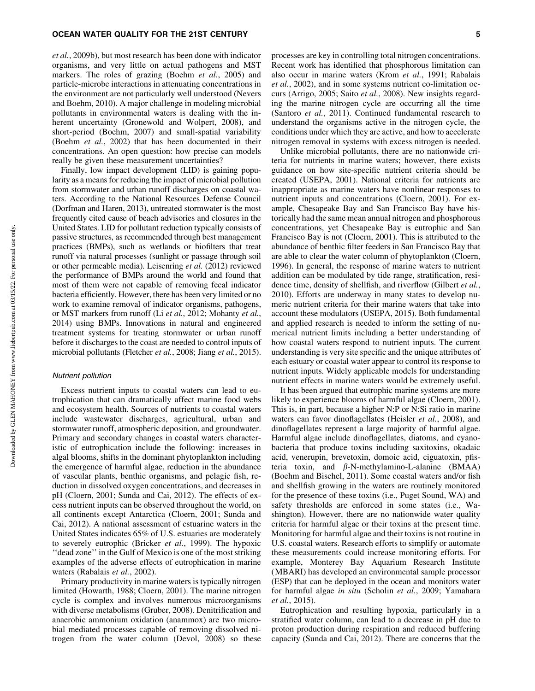*et al.*, 2009b), but most research has been done with indicator organisms, and very little on actual pathogens and MST markers. The roles of grazing (Boehm *et al.*, 2005) and particle-microbe interactions in attenuating concentrations in the environment are not particularly well understood (Nevers and Boehm, 2010). A major challenge in modeling microbial pollutants in environmental waters is dealing with the inherent uncertainty (Gronewold and Wolpert, 2008), and short-period (Boehm, 2007) and small-spatial variability (Boehm *et al.*, 2002) that has been documented in their concentrations. An open question: how precise can models really be given these measurement uncertainties?

Finally, low impact development (LID) is gaining popularity as a means for reducing the impact of microbial pollution from stormwater and urban runoff discharges on coastal waters. According to the National Resources Defense Council (Dorfman and Haren, 2013), untreated stormwater is the most frequently cited cause of beach advisories and closures in the United States. LID for pollutant reduction typically consists of passive structures, as recommended through best management practices (BMPs), such as wetlands or biofilters that treat runoff via natural processes (sunlight or passage through soil or other permeable media). Leisenring *et al.* (2012) reviewed the performance of BMPs around the world and found that most of them were not capable of removing fecal indicator bacteria efficiently. However, there has been very limited or no work to examine removal of indicator organisms, pathogens, or MST markers from runoff (Li *et al.*, 2012; Mohanty *et al.*, 2014) using BMPs. Innovations in natural and engineered treatment systems for treating stormwater or urban runoff before it discharges to the coast are needed to control inputs of microbial pollutants (Fletcher *et al.*, 2008; Jiang *et al.*, 2015).

#### Nutrient pollution

Excess nutrient inputs to coastal waters can lead to eutrophication that can dramatically affect marine food webs and ecosystem health. Sources of nutrients to coastal waters include wastewater discharges, agricultural, urban and stormwater runoff, atmospheric deposition, and groundwater. Primary and secondary changes in coastal waters characteristic of eutrophication include the following: increases in algal blooms, shifts in the dominant phytoplankton including the emergence of harmful algae, reduction in the abundance of vascular plants, benthic organisms, and pelagic fish, reduction in dissolved oxygen concentrations, and decreases in pH (Cloern, 2001; Sunda and Cai, 2012). The effects of excess nutrient inputs can be observed throughout the world, on all continents except Antarctica (Cloern, 2001; Sunda and Cai, 2012). A national assessment of estuarine waters in the United States indicates 65% of U.S. estuaries are moderately to severely eutrophic (Bricker *et al.*, 1999). The hypoxic ''dead zone'' in the Gulf of Mexico is one of the most striking examples of the adverse effects of eutrophication in marine waters (Rabalais *et al.*, 2002).

Primary productivity in marine waters is typically nitrogen limited (Howarth, 1988; Cloern, 2001). The marine nitrogen cycle is complex and involves numerous microorganisms with diverse metabolisms (Gruber, 2008). Denitrification and anaerobic ammonium oxidation (anammox) are two microbial mediated processes capable of removing dissolved nitrogen from the water column (Devol, 2008) so these

processes are key in controlling total nitrogen concentrations. Recent work has identified that phosphorous limitation can also occur in marine waters (Krom *et al.*, 1991; Rabalais *et al.*, 2002), and in some systems nutrient co-limitation occurs (Arrigo, 2005; Saito *et al.*, 2008). New insights regarding the marine nitrogen cycle are occurring all the time (Santoro *et al.*, 2011). Continued fundamental research to understand the organisms active in the nitrogen cycle, the conditions under which they are active, and how to accelerate nitrogen removal in systems with excess nitrogen is needed.

Unlike microbial pollutants, there are no nationwide criteria for nutrients in marine waters; however, there exists guidance on how site-specific nutrient criteria should be created (USEPA, 2001). National criteria for nutrients are inappropriate as marine waters have nonlinear responses to nutrient inputs and concentrations (Cloern, 2001). For example, Chesapeake Bay and San Francisco Bay have historically had the same mean annual nitrogen and phosphorous concentrations, yet Chesapeake Bay is eutrophic and San Francisco Bay is not (Cloern, 2001). This is attributed to the abundance of benthic filter feeders in San Francisco Bay that are able to clear the water column of phytoplankton (Cloern, 1996). In general, the response of marine waters to nutrient addition can be modulated by tide range, stratification, residence time, density of shellfish, and riverflow (Gilbert *et al.*, 2010). Efforts are underway in many states to develop numeric nutrient criteria for their marine waters that take into account these modulators (USEPA, 2015). Both fundamental and applied research is needed to inform the setting of numerical nutrient limits including a better understanding of how coastal waters respond to nutrient inputs. The current understanding is very site specific and the unique attributes of each estuary or coastal water appear to control its response to nutrient inputs. Widely applicable models for understanding nutrient effects in marine waters would be extremely useful.

It has been argued that eutrophic marine systems are more likely to experience blooms of harmful algae (Cloern, 2001). This is, in part, because a higher N:P or N:Si ratio in marine waters can favor dinoflagellates (Heisler *et al.*, 2008), and dinoflagellates represent a large majority of harmful algae. Harmful algae include dinoflagellates, diatoms, and cyanobacteria that produce toxins including saxitoxins, okadaic acid, venerupin, brevetoxin, domoic acid, ciguatoxin, pfisteria toxin, and  $\beta$ -N-methylamino-L-alanine (BMAA) (Boehm and Bischel, 2011). Some coastal waters and/or fish and shellfish growing in the waters are routinely monitored for the presence of these toxins (i.e., Puget Sound, WA) and safety thresholds are enforced in some states (i.e., Washington). However, there are no nationwide water quality criteria for harmful algae or their toxins at the present time. Monitoring for harmful algae and their toxins is not routine in U.S. coastal waters. Research efforts to simplify or automate these measurements could increase monitoring efforts. For example, Monterey Bay Aquarium Research Institute (MBARI) has developed an environmental sample processor (ESP) that can be deployed in the ocean and monitors water for harmful algae *in situ* (Scholin *et al.*, 2009; Yamahara *et al.*, 2015).

Eutrophication and resulting hypoxia, particularly in a stratified water column, can lead to a decrease in pH due to proton production during respiration and reduced buffering capacity (Sunda and Cai, 2012). There are concerns that the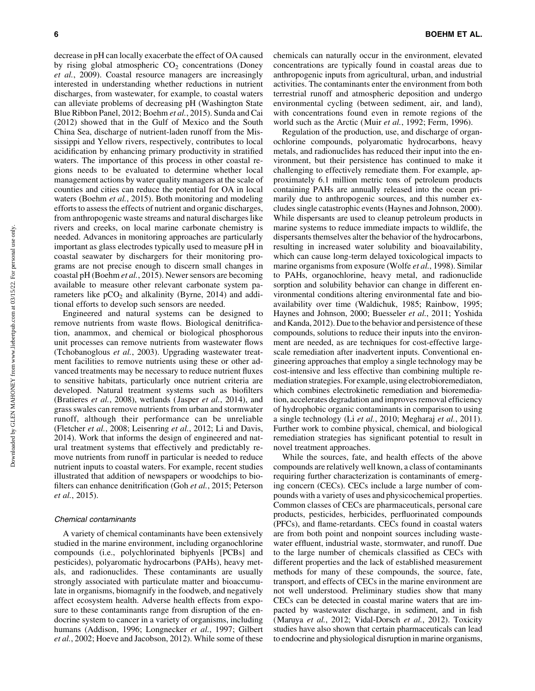decrease in pH can locally exacerbate the effect of OA caused by rising global atmospheric  $CO<sub>2</sub>$  concentrations (Doney *et al.*, 2009). Coastal resource managers are increasingly interested in understanding whether reductions in nutrient discharges, from wastewater, for example, to coastal waters can alleviate problems of decreasing pH (Washington State Blue Ribbon Panel, 2012; Boehm *et al.*, 2015). Sunda and Cai (2012) showed that in the Gulf of Mexico and the South China Sea, discharge of nutrient-laden runoff from the Mississippi and Yellow rivers, respectively, contributes to local acidification by enhancing primary productivity in stratified waters. The importance of this process in other coastal regions needs to be evaluated to determine whether local management actions by water quality managers at the scale of counties and cities can reduce the potential for OA in local waters (Boehm *et al.*, 2015). Both monitoring and modeling efforts to assess the effects of nutrient and organic discharges, from anthropogenic waste streams and natural discharges like rivers and creeks, on local marine carbonate chemistry is needed. Advances in monitoring approaches are particularly important as glass electrodes typically used to measure pH in coastal seawater by dischargers for their monitoring programs are not precise enough to discern small changes in coastal pH (Boehm *et al.*, 2015). Newer sensors are becoming available to measure other relevant carbonate system parameters like  $pCO<sub>2</sub>$  and alkalinity (Byrne, 2014) and additional efforts to develop such sensors are needed.

Engineered and natural systems can be designed to remove nutrients from waste flows. Biological denitrification, anammox, and chemical or biological phosphorous unit processes can remove nutrients from wastewater flows (Tchobanoglous *et al.*, 2003). Upgrading wastewater treatment facilities to remove nutrients using these or other advanced treatments may be necessary to reduce nutrient fluxes to sensitive habitats, particularly once nutrient criteria are developed. Natural treatment systems such as biofilters (Bratieres *et al.*, 2008), wetlands (Jasper *et al.*, 2014), and grass swales can remove nutrients from urban and stormwater runoff, although their performance can be unreliable (Fletcher *et al.*, 2008; Leisenring *et al.*, 2012; Li and Davis, 2014). Work that informs the design of engineered and natural treatment systems that effectively and predictably remove nutrients from runoff in particular is needed to reduce nutrient inputs to coastal waters. For example, recent studies illustrated that addition of newspapers or woodchips to biofilters can enhance denitrification (Goh *et al.*, 2015; Peterson *et al.*, 2015).

#### Chemical contaminants

A variety of chemical contaminants have been extensively studied in the marine environment, including organochlorine compounds (i.e., polychlorinated biphyenls [PCBs] and pesticides), polyaromatic hydrocarbons (PAHs), heavy metals, and radionuclides. These contaminants are usually strongly associated with particulate matter and bioaccumulate in organisms, biomagnify in the foodweb, and negatively affect ecosystem health. Adverse health effects from exposure to these contaminants range from disruption of the endocrine system to cancer in a variety of organisms, including humans (Addison, 1996; Longnecker *et al.*, 1997; Gilbert *et al.*, 2002; Hoeve and Jacobson, 2012). While some of these chemicals can naturally occur in the environment, elevated concentrations are typically found in coastal areas due to anthropogenic inputs from agricultural, urban, and industrial activities. The contaminants enter the environment from both terrestrial runoff and atmospheric deposition and undergo environmental cycling (between sediment, air, and land), with concentrations found even in remote regions of the world such as the Arctic (Muir *et al.*, 1992; Ferm, 1996).

Regulation of the production, use, and discharge of organochlorine compounds, polyaromatic hydrocarbons, heavy metals, and radionuclides has reduced their input into the environment, but their persistence has continued to make it challenging to effectively remediate them. For example, approximately 6.1 million metric tons of petroleum products containing PAHs are annually released into the ocean primarily due to anthropogenic sources, and this number excludes single catastrophic events (Haynes and Johnson, 2000). While dispersants are used to cleanup petroleum products in marine systems to reduce immediate impacts to wildlife, the dispersants themselves alter the behavior of the hydrocarbons, resulting in increased water solubility and bioavailability, which can cause long-term delayed toxicological impacts to marine organisms from exposure (Wolfe *et al.*, 1998). Similar to PAHs, organochlorine, heavy metal, and radionuclide sorption and solubility behavior can change in different environmental conditions altering environmental fate and bioavailability over time (Waldichuk, 1985; Rainbow, 1995; Haynes and Johnson, 2000; Buesseler *et al.*, 2011; Yoshida and Kanda, 2012). Due to the behavior and persistence of these compounds, solutions to reduce their inputs into the environment are needed, as are techniques for cost-effective largescale remediation after inadvertent inputs. Conventional engineering approaches that employ a single technology may be cost-intensive and less effective than combining multiple remediation strategies. For example, using electrobioremediaton, which combines electrokinetic remediation and bioremediation, accelerates degradation and improves removal efficiency of hydrophobic organic contaminants in comparison to using a single technology (Li *et al.*, 2010; Megharaj *et al.*, 2011). Further work to combine physical, chemical, and biological remediation strategies has significant potential to result in novel treatment approaches.

While the sources, fate, and health effects of the above compounds are relatively well known, a class of contaminants requiring further characterization is contaminants of emerging concern (CECs). CECs include a large number of compounds with a variety of uses and physicochemical properties. Common classes of CECs are pharmaceuticals, personal care products, pesticides, herbicides, perfluorinated compounds (PFCs), and flame-retardants. CECs found in coastal waters are from both point and nonpoint sources including wastewater effluent, industrial waste, stormwater, and runoff. Due to the large number of chemicals classified as CECs with different properties and the lack of established measurement methods for many of these compounds, the source, fate, transport, and effects of CECs in the marine environment are not well understood. Preliminary studies show that many CECs can be detected in coastal marine waters that are impacted by wastewater discharge, in sediment, and in fish (Maruya *et al.*, 2012; Vidal-Dorsch *et al.*, 2012). Toxicity studies have also shown that certain pharmaceuticals can lead to endocrine and physiological disruption in marine organisms,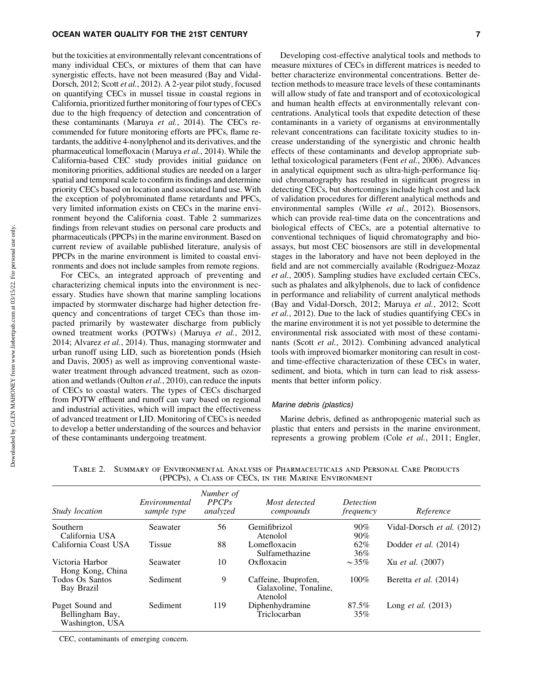#### OCEAN WATER QUALITY FOR THE 21ST CENTURY 7

but the toxicities at environmentally relevant concentrations of many individual CECs, or mixtures of them that can have synergistic effects, have not been measured (Bay and Vidal-Dorsch, 2012; Scott *et al.*, 2012). A 2-year pilot study, focused on quantifying CECs in mussel tissue in coastal regions in California, prioritized further monitoring of four types of CECs due to the high frequency of detection and concentration of these contaminants (Maruya *et al.*, 2014). The CECs recommended for future monitoring efforts are PFCs, flame retardants, the additive 4-nonylphenol and its derivatives, and the pharmaceutical lomefloxacin (Maruya *et al.*, 2014). While the California-based CEC study provides initial guidance on monitoring priorities, additional studies are needed on a larger spatial and temporal scale to confirm its findings and determine priority CECs based on location and associated land use. With the exception of polybrominated flame retardants and PFCs, very limited information exists on CECs in the marine environment beyond the California coast. Table 2 summarizes findings from relevant studies on personal care products and pharmaceuticals (PPCPs) in the marine environment. Based on current review of available published literature, analysis of PPCPs in the marine environment is limited to coastal environments and does not include samples from remote regions.

For CECs, an integrated approach of preventing and characterizing chemical inputs into the environment is necessary. Studies have shown that marine sampling locations impacted by stormwater discharge had higher detection frequency and concentrations of target CECs than those impacted primarily by wastewater discharge from publicly owned treatment works (POTWs) (Maruya *et al.*, 2012, 2014; Alvarez *et al.*, 2014). Thus, managing stormwater and urban runoff using LID, such as bioretention ponds (Hsieh and Davis, 2005) as well as improving conventional wastewater treatment through advanced treatment, such as ozonation and wetlands (Oulton *et al.*, 2010), can reduce the inputs of CECs to coastal waters. The types of CECs discharged from POTW effluent and runoff can vary based on regional and industrial activities, which will impact the effectiveness of advanced treatment or LID. Monitoring of CECs is needed to develop a better understanding of the sources and behavior of these contaminants undergoing treatment.

Developing cost-effective analytical tools and methods to measure mixtures of CECs in different matrices is needed to better characterize environmental concentrations. Better detection methods to measure trace levels of these contaminants will allow study of fate and transport and of ecotoxicological and human health effects at environmentally relevant concentrations. Analytical tools that expedite detection of these contaminants in a variety of organisms at environmentally relevant concentrations can facilitate toxicity studies to increase understanding of the synergistic and chronic health effects of these contaminants and develop appropriate sublethal toxicological parameters (Fent *et al.*, 2006). Advances in analytical equipment such as ultra-high-performance liquid chromatography has resulted in significant progress in detecting CECs, but shortcomings include high cost and lack of validation procedures for different analytical methods and environmental samples (Wille *et al.*, 2012). Biosensors, which can provide real-time data on the concentrations and biological effects of CECs, are a potential alternative to conventional techniques of liquid chromatography and bioassays, but most CEC biosensors are still in developmental stages in the laboratory and have not been deployed in the field and are not commercially available (Rodriguez-Mozaz *et al.*, 2005). Sampling studies have excluded certain CECs, such as phalates and alkylphenols, due to lack of confidence in performance and reliability of current analytical methods (Bay and Vidal-Dorsch, 2012; Maruya *et al.*, 2012; Scott *et al.*, 2012). Due to the lack of studies quantifying CECs in the marine environment it is not yet possible to determine the environmental risk associated with most of these contaminants (Scott *et al.*, 2012). Combining advanced analytical tools with improved biomarker monitoring can result in costand time-effective characterization of these CECs in water, sediment, and biota, which in turn can lead to risk assessments that better inform policy.

# Marine debris (plastics)

Marine debris, defined as anthropogenic material such as plastic that enters and persists in the marine environment, represents a growing problem (Cole *et al.*, 2011; Engler,

| Study location                                        | Environmental<br>sample type | Number of<br><b>PPCPs</b><br>analyzed | Most detected<br>compounds                                | <b>Detection</b><br>frequency | Reference                     |
|-------------------------------------------------------|------------------------------|---------------------------------------|-----------------------------------------------------------|-------------------------------|-------------------------------|
| Southern<br>California USA                            | Seawater                     | 56                                    | Gemifibrizol<br>Atenolol                                  | 90%<br>90%                    | Vidal-Dorsch et al. (2012)    |
| California Coast USA                                  | <b>Tissue</b>                | 88                                    | Lomefloxacin<br>Sulfamethazine                            | 62%<br>36%                    | Dodder <i>et al.</i> $(2014)$ |
| Victoria Harbor<br>Hong Kong, China                   | Seawater                     | 10                                    | Oxfloxacin                                                | $\sim$ 35%                    | Xu et al. (2007)              |
| Todos Os Santos<br>Bay Brazil                         | Sediment                     | 9                                     | Caffeine, Ibuprofen,<br>Galaxoline, Tonaline,<br>Atenolol | $100\%$                       | Beretta et al. (2014)         |
| Puget Sound and<br>Bellingham Bay,<br>Washington, USA | Sediment                     | 119                                   | Diphenhydramine<br>Triclocarban                           | 87.5%<br>35%                  | Long <i>et al.</i> $(2013)$   |

Table 2. Summary of Environmental Analysis of Pharmaceuticals and Personal Care Products (PPCPs), a Class of CECs, in the Marine Environment

CEC, contaminants of emerging concern.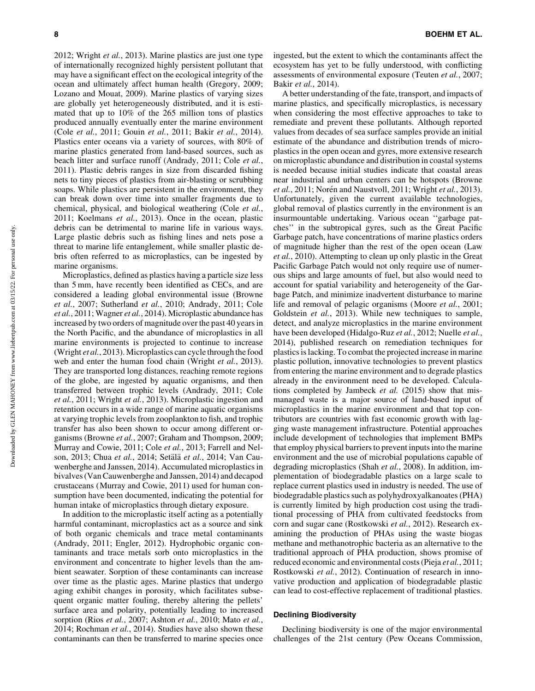2012; Wright *et al.*, 2013). Marine plastics are just one type of internationally recognized highly persistent pollutant that may have a significant effect on the ecological integrity of the ocean and ultimately affect human health (Gregory, 2009; Lozano and Mouat, 2009). Marine plastics of varying sizes are globally yet heterogeneously distributed, and it is estimated that up to 10% of the 265 million tons of plastics produced annually eventually enter the marine environment (Cole *et al.*, 2011; Gouin *et al.*, 2011; Bakir *et al.*, 2014). Plastics enter oceans via a variety of sources, with 80% of marine plastics generated from land-based sources, such as beach litter and surface runoff (Andrady, 2011; Cole *et al.*, 2011). Plastic debris ranges in size from discarded fishing nets to tiny pieces of plastics from air-blasting or scrubbing soaps. While plastics are persistent in the environment, they can break down over time into smaller fragments due to chemical, physical, and biological weathering (Cole *et al.*, 2011; Koelmans *et al.*, 2013). Once in the ocean, plastic debris can be detrimental to marine life in various ways. Large plastic debris such as fishing lines and nets pose a threat to marine life entanglement, while smaller plastic debris often referred to as microplastics, can be ingested by marine organisms.

Microplastics, defined as plastics having a particle size less than 5 mm, have recently been identified as CECs, and are considered a leading global environmental issue (Browne *et al.*, 2007; Sutherland *et al.*, 2010; Andrady, 2011; Cole *et al.*, 2011; Wagner *et al.*, 2014). Microplastic abundance has increased by two orders of magnitude over the past 40 years in the North Pacific, and the abundance of microplastics in all marine environments is projected to continue to increase (Wright *et al.*, 2013). Microplastics can cycle through the food web and enter the human food chain (Wright *et al.*, 2013). They are transported long distances, reaching remote regions of the globe, are ingested by aquatic organisms, and then transferred between trophic levels (Andrady, 2011; Cole *et al.*, 2011; Wright *et al.*, 2013). Microplastic ingestion and retention occurs in a wide range of marine aquatic organisms at varying trophic levels from zooplankton to fish, and trophic transfer has also been shown to occur among different organisms (Browne *et al.*, 2007; Graham and Thompson, 2009; Murray and Cowie, 2011; Cole *et al.*, 2013; Farrell and Nelson, 2013; Chua et al., 2014; Setälä et al., 2014; Van Cauwenberghe and Janssen, 2014). Accumulated microplastics in bivalves (Van Cauwenberghe and Janssen, 2014) and decapod crustaceans (Murray and Cowie, 2011) used for human consumption have been documented, indicating the potential for human intake of microplastics through dietary exposure.

In addition to the microplastic itself acting as a potentially harmful contaminant, microplastics act as a source and sink of both organic chemicals and trace metal contaminants (Andrady, 2011; Engler, 2012). Hydrophobic organic contaminants and trace metals sorb onto microplastics in the environment and concentrate to higher levels than the ambient seawater. Sorption of these contaminants can increase over time as the plastic ages. Marine plastics that undergo aging exhibit changes in porosity, which facilitates subsequent organic matter fouling, thereby altering the pellets' surface area and polarity, potentially leading to increased sorption (Rios *et al.*, 2007; Ashton *et al.*, 2010; Mato *et al.*, 2014; Rochman *et al.*, 2014). Studies have also shown these contaminants can then be transferred to marine species once ingested, but the extent to which the contaminants affect the ecosystem has yet to be fully understood, with conflicting assessments of environmental exposure (Teuten *et al.*, 2007; Bakir *et al.*, 2014).

A better understanding of the fate, transport, and impacts of marine plastics, and specifically microplastics, is necessary when considering the most effective approaches to take to remediate and prevent these pollutants. Although reported values from decades of sea surface samples provide an initial estimate of the abundance and distribution trends of microplastics in the open ocean and gyres, more extensive research on microplastic abundance and distribution in coastal systems is needed because initial studies indicate that coastal areas near industrial and urban centers can be hotspots (Browne *et al.*, 2011; Norén and Naustvoll, 2011; Wright *et al.*, 2013). Unfortunately, given the current available technologies, global removal of plastics currently in the environment is an insurmountable undertaking. Various ocean ''garbage patches'' in the subtropical gyres, such as the Great Pacific Garbage patch, have concentrations of marine plastics orders of magnitude higher than the rest of the open ocean (Law *et al.*, 2010). Attempting to clean up only plastic in the Great Pacific Garbage Patch would not only require use of numerous ships and large amounts of fuel, but also would need to account for spatial variability and heterogeneity of the Garbage Patch, and minimize inadvertent disturbance to marine life and removal of pelagic organisms (Moore *et al.*, 2001; Goldstein *et al.*, 2013). While new techniques to sample, detect, and analyze microplastics in the marine environment have been developed (Hidalgo-Ruz *et al.*, 2012; Nuelle *et al.*, 2014), published research on remediation techniques for plastics is lacking. To combat the projected increase in marine plastic pollution, innovative technologies to prevent plastics from entering the marine environment and to degrade plastics already in the environment need to be developed. Calculations completed by Jambeck *et al.* (2015) show that mismanaged waste is a major source of land-based input of microplastics in the marine environment and that top contributors are countries with fast economic growth with lagging waste management infrastructure. Potential approaches include development of technologies that implement BMPs that employ physical barriers to prevent inputs into the marine environment and the use of microbial populations capable of degrading microplastics (Shah *et al.*, 2008). In addition, implementation of biodegradable plastics on a large scale to replace current plastics used in industry is needed. The use of biodegradable plastics such as polyhydroxyalkanoates (PHA) is currently limited by high production cost using the traditional processing of PHA from cultivated feedstocks from corn and sugar cane (Rostkowski *et al.*, 2012). Research examining the production of PHAs using the waste biogas methane and methanotrophic bacteria as an alternative to the traditional approach of PHA production, shows promise of reduced economic and environmental costs (Pieja *et al.*, 2011; Rostkowski *et al.*, 2012). Continuation of research in innovative production and application of biodegradable plastic can lead to cost-effective replacement of traditional plastics.

#### Declining Biodiversity

Declining biodiversity is one of the major environmental challenges of the 21st century (Pew Oceans Commission,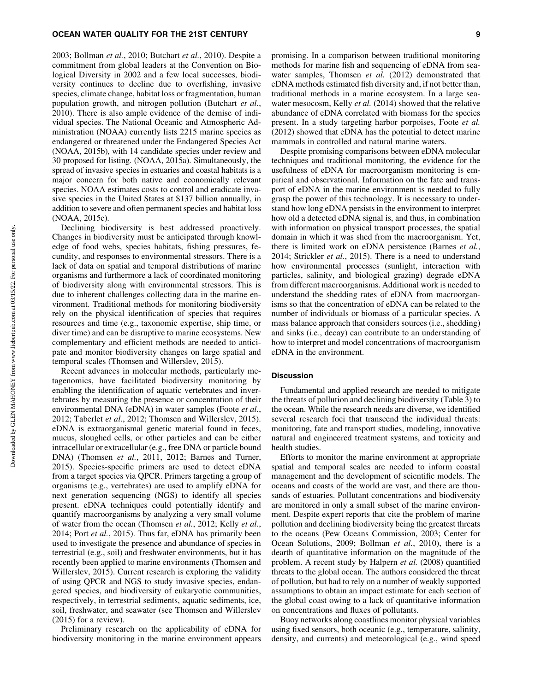# OCEAN WATER QUALITY FOR THE 21ST CENTURY 9

2003; Bollman *et al.*, 2010; Butchart *et al.*, 2010). Despite a commitment from global leaders at the Convention on Biological Diversity in 2002 and a few local successes, biodiversity continues to decline due to overfishing, invasive species, climate change, habitat loss or fragmentation, human population growth, and nitrogen pollution (Butchart *et al.*, 2010). There is also ample evidence of the demise of individual species. The National Oceanic and Atmospheric Administration (NOAA) currently lists 2215 marine species as endangered or threatened under the Endangered Species Act (NOAA, 2015b), with 14 candidate species under review and 30 proposed for listing. (NOAA, 2015a). Simultaneously, the spread of invasive species in estuaries and coastal habitats is a major concern for both native and economically relevant species. NOAA estimates costs to control and eradicate invasive species in the United States at \$137 billion annually, in addition to severe and often permanent species and habitat loss (NOAA, 2015c).

Declining biodiversity is best addressed proactively. Changes in biodiversity must be anticipated through knowledge of food webs, species habitats, fishing pressures, fecundity, and responses to environmental stressors. There is a lack of data on spatial and temporal distributions of marine organisms and furthermore a lack of coordinated monitoring of biodiversity along with environmental stressors. This is due to inherent challenges collecting data in the marine environment. Traditional methods for monitoring biodiversity rely on the physical identification of species that requires resources and time (e.g., taxonomic expertise, ship time, or diver time) and can be disruptive to marine ecosystems. New complementary and efficient methods are needed to anticipate and monitor biodiversity changes on large spatial and temporal scales (Thomsen and Willerslev, 2015).

Recent advances in molecular methods, particularly metagenomics, have facilitated biodiversity monitoring by enabling the identification of aquatic vertebrates and invertebrates by measuring the presence or concentration of their environmental DNA (eDNA) in water samples (Foote *et al.*, 2012; Taberlet *et al.*, 2012; Thomsen and Willerslev, 2015). eDNA is extraorganismal genetic material found in feces, mucus, sloughed cells, or other particles and can be either intracellular or extracellular (e.g., free DNA or particle bound DNA) (Thomsen *et al.*, 2011, 2012; Barnes and Turner, 2015). Species-specific primers are used to detect eDNA from a target species via QPCR. Primers targeting a group of organisms (e.g., vertebrates) are used to amplify eDNA for next generation sequencing (NGS) to identify all species present. eDNA techniques could potentially identify and quantify macroorganisms by analyzing a very small volume of water from the ocean (Thomsen *et al.*, 2012; Kelly *et al.*, 2014; Port *et al.*, 2015). Thus far, eDNA has primarily been used to investigate the presence and abundance of species in terrestrial (e.g., soil) and freshwater environments, but it has recently been applied to marine environments (Thomsen and Willerslev, 2015). Current research is exploring the validity of using QPCR and NGS to study invasive species, endangered species, and biodiversity of eukaryotic communities, respectively, in terrestrial sediments, aquatic sediments, ice, soil, freshwater, and seawater (see Thomsen and Willerslev (2015) for a review).

Preliminary research on the applicability of eDNA for biodiversity monitoring in the marine environment appears promising. In a comparison between traditional monitoring methods for marine fish and sequencing of eDNA from seawater samples, Thomsen *et al.* (2012) demonstrated that eDNA methods estimated fish diversity and, if not better than, traditional methods in a marine ecosystem. In a large seawater mesocosm, Kelly *et al.* (2014) showed that the relative abundance of eDNA correlated with biomass for the species present. In a study targeting harbor porpoises, Foote *et al.* (2012) showed that eDNA has the potential to detect marine mammals in controlled and natural marine waters.

Despite promising comparisons between eDNA molecular techniques and traditional monitoring, the evidence for the usefulness of eDNA for macroorganism monitoring is empirical and observational. Information on the fate and transport of eDNA in the marine environment is needed to fully grasp the power of this technology. It is necessary to understand how long eDNA persists in the environment to interpret how old a detected eDNA signal is, and thus, in combination with information on physical transport processes, the spatial domain in which it was shed from the macroorganism. Yet, there is limited work on eDNA persistence (Barnes *et al.*, 2014; Strickler *et al.*, 2015). There is a need to understand how environmental processes (sunlight, interaction with particles, salinity, and biological grazing) degrade eDNA from different macroorganisms. Additional work is needed to understand the shedding rates of eDNA from macroorganisms so that the concentration of eDNA can be related to the number of individuals or biomass of a particular species. A mass balance approach that considers sources (i.e., shedding) and sinks (i.e., decay) can contribute to an understanding of how to interpret and model concentrations of macroorganism eDNA in the environment.

#### **Discussion**

Fundamental and applied research are needed to mitigate the threats of pollution and declining biodiversity (Table 3) to the ocean. While the research needs are diverse, we identified several research foci that transcend the individual threats: monitoring, fate and transport studies, modeling, innovative natural and engineered treatment systems, and toxicity and health studies.

Efforts to monitor the marine environment at appropriate spatial and temporal scales are needed to inform coastal management and the development of scientific models. The oceans and coasts of the world are vast, and there are thousands of estuaries. Pollutant concentrations and biodiversity are monitored in only a small subset of the marine environment. Despite expert reports that cite the problem of marine pollution and declining biodiversity being the greatest threats to the oceans (Pew Oceans Commission, 2003; Center for Ocean Solutions, 2009; Bollman *et al.*, 2010), there is a dearth of quantitative information on the magnitude of the problem. A recent study by Halpern *et al.* (2008) quantified threats to the global ocean. The authors considered the threat of pollution, but had to rely on a number of weakly supported assumptions to obtain an impact estimate for each section of the global coast owing to a lack of quantitative information on concentrations and fluxes of pollutants.

Buoy networks along coastlines monitor physical variables using fixed sensors, both oceanic (e.g., temperature, salinity, density, and currents) and meteorological (e.g., wind speed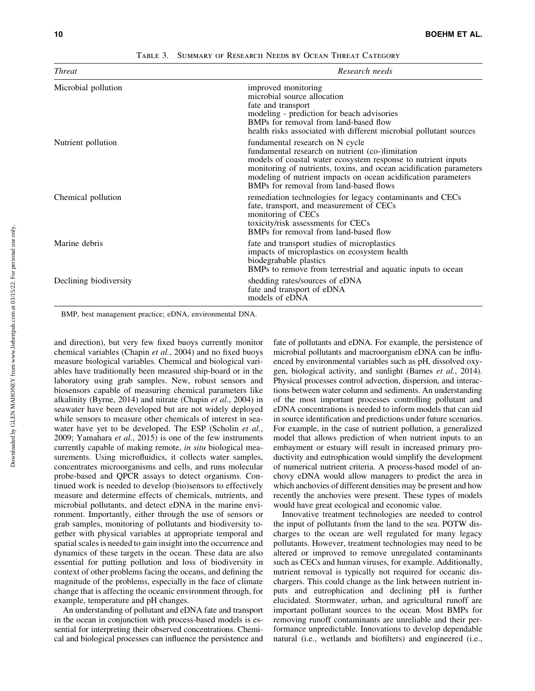| <b>Threat</b>          | Research needs                                                                                                                                                                                                                                                                                                                          |  |  |  |
|------------------------|-----------------------------------------------------------------------------------------------------------------------------------------------------------------------------------------------------------------------------------------------------------------------------------------------------------------------------------------|--|--|--|
| Microbial pollution    | improved monitoring<br>microbial source allocation<br>fate and transport<br>modeling - prediction for beach advisories<br>BMPs for removal from land-based flow<br>health risks associated with different microbial pollutant sources                                                                                                   |  |  |  |
| Nutrient pollution     | fundamental research on N cycle<br>fundamental research on nutrient (co-)limitation<br>models of coastal water ecosystem response to nutrient inputs<br>monitoring of nutrients, toxins, and ocean acidification parameters<br>modeling of nutrient impacts on ocean acidification parameters<br>BMPs for removal from land-based flows |  |  |  |
| Chemical pollution     | remediation technologies for legacy contaminants and CECs<br>fate, transport, and measurement of CECs<br>monitoring of CECs<br>toxicity/risk assessments for CECs<br>BMPs for removal from land-based flow                                                                                                                              |  |  |  |
| Marine debris          | fate and transport studies of microplastics<br>impacts of microplastics on ecosystem health<br>biodegrabable plastics<br>BMPs to remove from terrestrial and aquatic inputs to ocean                                                                                                                                                    |  |  |  |
| Declining biodiversity | shedding rates/sources of eDNA<br>fate and transport of eDNA<br>models of eDNA                                                                                                                                                                                                                                                          |  |  |  |

Table 3. Summary of Research Needs by Ocean Threat Category

BMP, best management practice; eDNA, environmental DNA.

and direction), but very few fixed buoys currently monitor chemical variables (Chapin *et al.*, 2004) and no fixed buoys measure biological variables. Chemical and biological variables have traditionally been measured ship-board or in the laboratory using grab samples. New, robust sensors and biosensors capable of measuring chemical parameters like alkalinity (Byrne, 2014) and nitrate (Chapin *et al.*, 2004) in seawater have been developed but are not widely deployed while sensors to measure other chemicals of interest in seawater have yet to be developed. The ESP (Scholin *et al.*, 2009; Yamahara *et al.*, 2015) is one of the few instruments currently capable of making remote, *in situ* biological measurements. Using microfluidics, it collects water samples, concentrates microorganisms and cells, and runs molecular probe-based and QPCR assays to detect organisms. Continued work is needed to develop (bio)sensors to effectively measure and determine effects of chemicals, nutrients, and microbial pollutants, and detect eDNA in the marine environment. Importantly, either through the use of sensors or grab samples, monitoring of pollutants and biodiversity together with physical variables at appropriate temporal and spatial scales is needed to gain insight into the occurrence and dynamics of these targets in the ocean. These data are also essential for putting pollution and loss of biodiversity in context of other problems facing the oceans, and defining the magnitude of the problems, especially in the face of climate change that is affecting the oceanic environment through, for example, temperature and pH changes.

An understanding of pollutant and eDNA fate and transport in the ocean in conjunction with process-based models is essential for interpreting their observed concentrations. Chemical and biological processes can influence the persistence and fate of pollutants and eDNA. For example, the persistence of microbial pollutants and macroorganism eDNA can be influenced by environmental variables such as pH, dissolved oxygen, biological activity, and sunlight (Barnes *et al.*, 2014). Physical processes control advection, dispersion, and interactions between water column and sediments. An understanding of the most important processes controlling pollutant and eDNA concentrations is needed to inform models that can aid in source identification and predictions under future scenarios. For example, in the case of nutrient pollution, a generalized model that allows prediction of when nutrient inputs to an embayment or estuary will result in increased primary productivity and eutrophication would simplify the development of numerical nutrient criteria. A process-based model of anchovy eDNA would allow managers to predict the area in which anchovies of different densities may be present and how recently the anchovies were present. These types of models would have great ecological and economic value.

Innovative treatment technologies are needed to control the input of pollutants from the land to the sea. POTW discharges to the ocean are well regulated for many legacy pollutants. However, treatment technologies may need to be altered or improved to remove unregulated contaminants such as CECs and human viruses, for example. Additionally, nutrient removal is typically not required for oceanic dischargers. This could change as the link between nutrient inputs and eutrophication and declining pH is further elucidated. Stormwater, urban, and agricultural runoff are important pollutant sources to the ocean. Most BMPs for removing runoff contaminants are unreliable and their performance unpredictable. Innovations to develop dependable natural (i.e., wetlands and biofilters) and engineered (i.e.,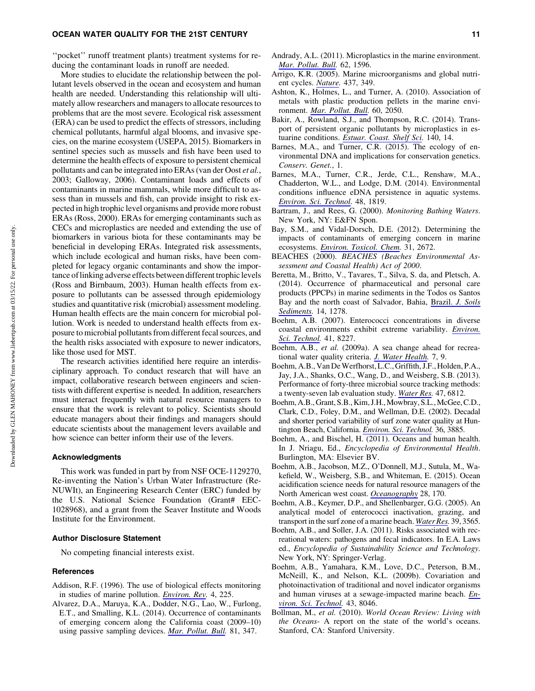#### OCEAN WATER QUALITY FOR THE 21ST CENTURY 11

''pocket'' runoff treatment plants) treatment systems for reducing the contaminant loads in runoff are needed.

More studies to elucidate the relationship between the pollutant levels observed in the ocean and ecosystem and human health are needed. Understanding this relationship will ultimately allow researchers and managers to allocate resources to problems that are the most severe. Ecological risk assessment (ERA) can be used to predict the effects of stressors, including chemical pollutants, harmful algal blooms, and invasive species, on the marine ecosystem (USEPA, 2015). Biomarkers in sentinel species such as mussels and fish have been used to determine the health effects of exposure to persistent chemical pollutants and can be integrated into ERAs (van der Oost *et al.*, 2003; Galloway, 2006). Contaminant loads and effects of contaminants in marine mammals, while more difficult to assess than in mussels and fish, can provide insight to risk expected in high trophic level organisms and provide more robust ERAs (Ross, 2000). ERAs for emerging contaminants such as CECs and microplastics are needed and extending the use of biomarkers in various biota for these contaminants may be beneficial in developing ERAs. Integrated risk assessments, which include ecological and human risks, have been completed for legacy organic contaminants and show the importance of linking adverse effects between different trophic levels (Ross and Birnbaum, 2003). Human health effects from exposure to pollutants can be assessed through epidemiology studies and quantitative risk (microbial) assessment modeling. Human health effects are the main concern for microbial pollution. Work is needed to understand health effects from exposure to microbial pollutants from different fecal sources, and the health risks associated with exposure to newer indicators, like those used for MST.

The research activities identified here require an interdisciplinary approach. To conduct research that will have an impact, collaborative research between engineers and scientists with different expertise is needed. In addition, researchers must interact frequently with natural resource managers to ensure that the work is relevant to policy. Scientists should educate managers about their findings and managers should educate scientists about the management levers available and how science can better inform their use of the levers.

#### Acknowledgments

This work was funded in part by from NSF OCE-1129270, Re-inventing the Nation's Urban Water Infrastructure (Re-NUWIt), an Engineering Research Center (ERC) funded by the U.S. National Science Foundation (Grant# EEC-1028968), and a grant from the Seaver Institute and Woods Institute for the Environment.

#### Author Disclosure Statement

No competing financial interests exist.

#### **References**

- Addison, R.F. (1996). The use of biological effects monitoring in studies of marine pollution. *[Environ. Rev.](https://www.liebertpub.com/action/showLinks?crossref=10.1139%2Fa96-012&citationId=p_472)* 4, 225.
- Alvarez, D.A., Maruya, K.A., Dodder, N.G., Lao, W., Furlong, E.T., and Smalling, K.L. (2014). Occurrence of contaminants of emerging concern along the California coast (2009–10) using passive sampling devices. *[Mar. Pollut. Bull.](https://www.liebertpub.com/action/showLinks?pmid=23683585&crossref=10.1016%2Fj.marpolbul.2013.04.022&citationId=p_473)* 81, 347.
- Andrady, A.L. (2011). Microplastics in the marine environment. *[Mar. Pollut. Bull](https://www.liebertpub.com/action/showLinks?pmid=21742351&crossref=10.1016%2Fj.marpolbul.2011.05.030&citationId=p_474).* 62, 1596.
- Arrigo, K.R. (2005). Marine microorganisms and global nutrient cycles. *[Nature](https://www.liebertpub.com/action/showLinks?pmid=16163345&crossref=10.1038%2Fnature04159&citationId=p_475).* 437, 349.
- Ashton, K., Holmes, L., and Turner, A. (2010). Association of metals with plastic production pellets in the marine environment. *[Mar. Pollut. Bull.](https://www.liebertpub.com/action/showLinks?pmid=20696443&crossref=10.1016%2Fj.marpolbul.2010.07.014&citationId=p_476)* 60, 2050.
- Bakir, A., Rowland, S.J., and Thompson, R.C. (2014). Transport of persistent organic pollutants by microplastics in estuarine conditions. *[Estuar. Coast. Shelf Sci.](https://www.liebertpub.com/action/showLinks?crossref=10.1016%2Fj.ecss.2014.01.004&citationId=p_477)* 140, 14.
- Barnes, M.A., and Turner, C.R. (2015). The ecology of environmental DNA and implications for conservation genetics. *Conserv. Genet.*, 1.
- Barnes, M.A., Turner, C.R., Jerde, C.L., Renshaw, M.A., Chadderton, W.L., and Lodge, D.M. (2014). Environmental conditions influence eDNA persistence in aquatic systems. *[Environ. Sci. Technol](https://www.liebertpub.com/action/showLinks?pmid=24422450&crossref=10.1021%2Fes404734p&citationId=p_479).* 48, 1819.
- Bartram, J., and Rees, G. (2000). *Monitoring Bathing Waters*. New York, NY: E&FN Spon.
- Bay, S.M., and Vidal-Dorsch, D.E. (2012). Determining the impacts of contaminants of emerging concern in marine ecosystems. *[Environ. Toxicol. Chem](https://www.liebertpub.com/action/showLinks?pmid=23165998&crossref=10.1002%2Fetc.2016&citationId=p_481).* 31, 2672.
- BEACHES (2000). *BEACHES (Beaches Environmental Assessment and Coastal Health) Act of 2000*.
- Beretta, M., Britto, V., Tavares, T., Silva, S. da, and Pletsch, A. (2014). Occurrence of pharmaceutical and personal care products (PPCPs) in marine sediments in the Todos os Santos Bay and the north coast of Salvador, Bahia, Brazil. *[J. Soils](https://www.liebertpub.com/action/showLinks?crossref=10.1007%2Fs11368-014-0884-6&citationId=p_483) [Sediments.](https://www.liebertpub.com/action/showLinks?crossref=10.1007%2Fs11368-014-0884-6&citationId=p_483)* 14, 1278.
- Boehm, A.B. (2007). Enterococci concentrations in diverse coastal environments exhibit extreme variability. *[Environ.](https://www.liebertpub.com/action/showLinks?pmid=18200844&crossref=10.1021%2Fes071807v&citationId=p_484) [Sci. Technol.](https://www.liebertpub.com/action/showLinks?pmid=18200844&crossref=10.1021%2Fes071807v&citationId=p_484)* 41, 8227.
- Boehm, A.B., *et al.* (2009a). A sea change ahead for recreational water quality criteria. *[J. Water Health](https://www.liebertpub.com/action/showLinks?pmid=18957771&crossref=10.2166%2Fwh.2009.122&citationId=p_485).* 7, 9.
- Boehm, A.B., Van De Werfhorst, L.C., Griffith, J.F., Holden, P.A., Jay, J.A., Shanks, O.C., Wang, D., and Weisberg, S.B. (2013). Performance of forty-three microbial source tracking methods: a twenty-seven lab evaluation study. *[Water Res](https://www.liebertpub.com/action/showLinks?pmid=23880218&crossref=10.1016%2Fj.watres.2012.12.046&citationId=p_486).* 47, 6812.
- Boehm, A.B., Grant, S.B., Kim, J.H., Mowbray, S.L., McGee, C.D., Clark, C.D., Foley, D.M., and Wellman, D.E. (2002). Decadal and shorter period variability of surf zone water quality at Huntington Beach, California. *[Environ. Sci. Technol.](https://www.liebertpub.com/action/showLinks?pmid=12269739&crossref=10.1021%2Fes020524u&citationId=p_487)* 36, 3885.
- Boehm, A., and Bischel, H. (2011). Oceans and human health. In J. Nriagu, Ed., *Encyclopedia of Environmental Health*. Burlington, MA: Elsevier BV.
- Boehm, A.B., Jacobson, M.Z., O'Donnell, M.J., Sutula, M., Wakefield, W., Weisberg, S.B., and Whiteman, E. (2015). Ocean acidification science needs for natural resource managers of the North American west coast. *[Oceanography](https://www.liebertpub.com/action/showLinks?crossref=10.5670%2Foceanog.2015.40&citationId=p_489)* 28, 170.
- Boehm, A.B., Keymer, D.P., and Shellenbarger, G.G. (2005). An analytical model of enterococci inactivation, grazing, and transport in the surf zone of a marine beach. *[Water Res.](https://www.liebertpub.com/action/showLinks?pmid=16095656&crossref=10.1016%2Fj.watres.2005.06.026&citationId=p_490)* 39, 3565.
- Boehm, A.B., and Soller, J.A. (2011). Risks associated with recreational waters: pathogens and fecal indicators. In E.A. Laws ed., *Encyclopedia of Sustainability Science and Technology*. New York, NY: Springer-Verlag.
- Boehm, A.B., Yamahara, K.M., Love, D.C., Peterson, B.M., McNeill, K., and Nelson, K.L. (2009b). Covariation and photoinactivation of traditional and novel indicator organisms and human viruses at a sewage-impacted marine beach. *[En](https://www.liebertpub.com/action/showLinks?pmid=19924921&crossref=10.1021%2Fes9015124&citationId=p_492)[viron. Sci. Technol.](https://www.liebertpub.com/action/showLinks?pmid=19924921&crossref=10.1021%2Fes9015124&citationId=p_492)* 43, 8046.
- Bollman, M., *et al.* (2010). *World Ocean Review: Living with the Oceans*- A report on the state of the world's oceans. Stanford, CA: Stanford University.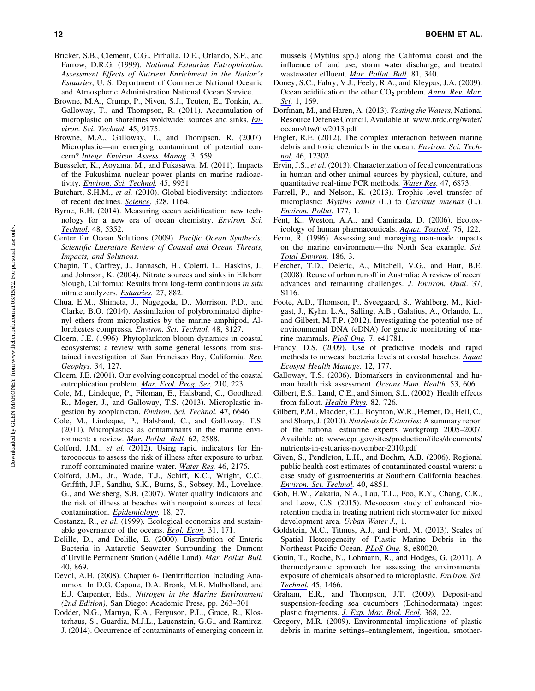- Bricker, S.B., Clement, C.G., Pirhalla, D.E., Orlando, S.P., and Farrow, D.R.G. (1999). *National Estuarine Eutrophication Assessment Effects of Nutrient Enrichment in the Nation's Estuaries*, U. S. Department of Commerce National Oceanic and Atmospheric Administration National Ocean Service.
- Browne, M.A., Crump, P., Niven, S.J., Teuten, E., Tonkin, A., Galloway, T., and Thompson, R. (2011). Accumulation of microplastic on shorelines woldwide: sources and sinks. *[En](https://www.liebertpub.com/action/showLinks?pmid=21894925&crossref=10.1021%2Fes201811s&citationId=p_495)[viron. Sci. Technol](https://www.liebertpub.com/action/showLinks?pmid=21894925&crossref=10.1021%2Fes201811s&citationId=p_495).* 45, 9175.
- Browne, M.A., Galloway, T., and Thompson, R. (2007). Microplastic—an emerging contaminant of potential concern? *[Integr. Environ. Assess. Manag](https://www.liebertpub.com/action/showLinks?pmid=18046805&crossref=10.1002%2Fieam.5630030412&citationId=p_496).* 3, 559.
- Buesseler, K., Aoyama, M., and Fukasawa, M. (2011). Impacts of the Fukushima nuclear power plants on marine radioactivity. *[Environ. Sci. Technol.](https://www.liebertpub.com/action/showLinks?pmid=22013920&crossref=10.1021%2Fes202816c&citationId=p_497)* 45, 9931.
- Butchart, S.H.M., *et al.* (2010). Global biodiversity: indicators of recent declines. *[Science.](https://www.liebertpub.com/action/showLinks?pmid=20430971&crossref=10.1126%2Fscience.1187512&citationId=p_498)* 328, 1164.
- Byrne, R.H. (2014). Measuring ocean acidification: new technology for a new era of ocean chemistry. *[Environ. Sci.](https://www.liebertpub.com/action/showLinks?pmid=24708247&crossref=10.1021%2Fes405819p&citationId=p_499) [Technol](https://www.liebertpub.com/action/showLinks?pmid=24708247&crossref=10.1021%2Fes405819p&citationId=p_499).* 48, 5352.
- Center for Ocean Solutions (2009). *Pacific Ocean Synthesis: Scientific Literature Review of Coastal and Ocean Threats, Impacts, and Solutions*.
- Chapin, T., Caffrey, J., Jannasch, H., Coletti, L., Haskins, J., and Johnson, K. (2004). Nitrate sources and sinks in Elkhorn Slough, California: Results from long-term continuous *in situ* nitrate analyzers. *[Estuaries](https://www.liebertpub.com/action/showLinks?crossref=10.1007%2FBF02912049&citationId=p_501).* 27, 882.
- Chua, E.M., Shimeta, J., Nugegoda, D., Morrison, P.D., and Clarke, B.O. (2014). Assimilation of polybrominated diphenyl ethers from microplastics by the marine amphipod, Allorchestes compressa. *[Environ. Sci. Technol.](https://www.liebertpub.com/action/showLinks?pmid=24884099&crossref=10.1021%2Fes405717z&citationId=p_502)* 48, 8127.
- Cloern, J.E. (1996). Phytoplankton bloom dynamics in coastal ecosystems: a review with some general lessons from sustained investigation of San Francisco Bay, California. *[Rev.](https://www.liebertpub.com/action/showLinks?crossref=10.1029%2F96RG00986&citationId=p_503) [Geophys.](https://www.liebertpub.com/action/showLinks?crossref=10.1029%2F96RG00986&citationId=p_503)* 34, 127.
- Cloern, J.E. (2001). Our evolving conceptual model of the coastal eutrophication problem. *[Mar. Ecol. Prog. Ser](https://www.liebertpub.com/action/showLinks?crossref=10.3354%2Fmeps210223&citationId=p_504).* 210, 223.
- Cole, M., Lindeque, P., Fileman, E., Halsband, C., Goodhead, R., Moger, J., and Galloway, T.S. (2013). Microplastic ingestion by zooplankton. *[Environ. Sci. Technol](https://www.liebertpub.com/action/showLinks?pmid=23692270&crossref=10.1021%2Fes400663f&citationId=p_505).* 47, 6646.
- Cole, M., Lindeque, P., Halsband, C., and Galloway, T.S. (2011). Microplastics as contaminants in the marine environment: a review. *[Mar. Pollut. Bull](https://www.liebertpub.com/action/showLinks?pmid=22001295&crossref=10.1016%2Fj.marpolbul.2011.09.025&citationId=p_506).* 62, 2588.
- Colford, J.M., *et al.* (2012). Using rapid indicators for Enterococcus to assess the risk of illness after exposure to urban runoff contaminated marine water. *[Water Res](https://www.liebertpub.com/action/showLinks?pmid=22356828&crossref=10.1016%2Fj.watres.2012.01.033&citationId=p_507).* 46, 2176.
- Colford, J.M., Jr., Wade, T.J., Schiff, K.C., Wright, C.C., Griffith, J.F., Sandhu, S.K., Burns, S., Sobsey, M., Lovelace, G., and Weisberg, S.B. (2007). Water quality indicators and the risk of illness at beaches with nonpoint sources of fecal contamination. *[Epidemiology.](https://www.liebertpub.com/action/showLinks?pmid=17149140&crossref=10.1097%2F01.ede.0000249425.32990.b9&citationId=p_508)* 18, 27.
- Costanza, R., *et al.* (1999). Ecological economics and sustainable governance of the oceans. *[Ecol. Econ.](https://www.liebertpub.com/action/showLinks?crossref=10.1016%2FS0921-8009%2899%2900077-4&citationId=p_509)* 31, 171.
- Delille, D., and Delille, E. (2000). Distribution of Enteric Bacteria in Antarctic Seawater Surrounding the Dumont d'Urville Permanent Station (Adélie Land). [Mar. Pollut. Bull.](https://www.liebertpub.com/action/showLinks?crossref=10.1016%2FS0025-326X%2800%2900077-1&citationId=p_510) 40, 869.
- Devol, A.H. (2008). Chapter 6- Denitrification Including Anammox. In D.G. Capone, D.A. Bronk, M.R. Mulholland, and E.J. Carpenter, Eds., *Nitrogen in the Marine Environment (2nd Edition)*, San Diego: Academic Press, pp. 263–301.
- Dodder, N.G., Maruya, K.A., Ferguson, P.L., Grace, R., Klosterhaus, S., Guardia, M.J.L., Lauenstein, G.G., and Ramirez, J. (2014). Occurrence of contaminants of emerging concern in

mussels (Mytilus spp.) along the California coast and the influence of land use, storm water discharge, and treated wastewater effluent. *[Mar. Pollut. Bull](https://www.liebertpub.com/action/showLinks?pmid=23849955&crossref=10.1016%2Fj.marpolbul.2013.06.041&citationId=p_512).* 81, 340.

- Doney, S.C., Fabry, V.J., Feely, R.A., and Kleypas, J.A. (2009). Ocean acidification: the other CO<sub>2</sub> problem. *[Annu. Rev. Mar.](https://www.liebertpub.com/action/showLinks?pmid=21141034&crossref=10.1146%2Fannurev.marine.010908.163834&citationId=p_513) [Sci.](https://www.liebertpub.com/action/showLinks?pmid=21141034&crossref=10.1146%2Fannurev.marine.010908.163834&citationId=p_513)* 1, 169.
- Dorfman, M., and Haren, A. (2013). *Testing the Waters*, National Resource Defense Council. Available at: www.nrdc.org/water/ oceans/ttw/ttw2013.pdf
- Engler, R.E. (2012). The complex interaction between marine debris and toxic chemicals in the ocean. *[Environ. Sci. Tech](https://www.liebertpub.com/action/showLinks?pmid=23088563&crossref=10.1021%2Fes3027105&citationId=p_515)[nol](https://www.liebertpub.com/action/showLinks?pmid=23088563&crossref=10.1021%2Fes3027105&citationId=p_515).* 46, 12302.
- Ervin, J.S., *et al.* (2013). Characterization of fecal concentrations in human and other animal sources by physical, culture, and quantitative real-time PCR methods. *[Water Res](https://www.liebertpub.com/action/showLinks?pmid=23871252&crossref=10.1016%2Fj.watres.2013.02.060&citationId=p_516).* 47, 6873.
- Farrell, P., and Nelson, K. (2013). Trophic level transfer of microplastic: *Mytilus edulis* (L.) to *Carcinus maenas* (L.). *[Environ. Pollut.](https://www.liebertpub.com/action/showLinks?pmid=23434827&crossref=10.1016%2Fj.envpol.2013.01.046&citationId=p_517)* 177, 1.
- Fent, K., Weston, A.A., and Caminada, D. (2006). Ecotoxicology of human pharmaceuticals. *[Aquat. Toxicol.](https://www.liebertpub.com/action/showLinks?pmid=16257063&crossref=10.1016%2Fj.aquatox.2005.09.009&citationId=p_518)* 76, 122.
- Ferm, R. (1996). Assessing and managing man-made impacts on the marine environment—the North Sea example. *Sci. [Total Environ](https://www.liebertpub.com/action/showLinks?crossref=10.1016%2F0048-9697%2896%2905081-4&citationId=p_519).* 186, 3.
- Fletcher, T.D., Deletic, A., Mitchell, V.G., and Hatt, B.E. (2008). Reuse of urban runoff in Australia: A review of recent advances and remaining challenges. *[J. Environ. Qual](https://www.liebertpub.com/action/showLinks?pmid=18765758&crossref=10.2134%2Fjeq2007.0411&citationId=p_520)*. 37, S116.
- Foote, A.D., Thomsen, P., Sveegaard, S., Wahlberg, M., Kielgast, J., Kyhn, L.A., Salling, A.B., Galatius, A., Orlando, L., and Gilbert, M.T.P. (2012). Investigating the potential use of environmental DNA (eDNA) for genetic monitoring of marine mammals. *[PloS One.](https://www.liebertpub.com/action/showLinks?pmid=22952587&crossref=10.1371%2Fjournal.pone.0041781&citationId=p_521)* 7, e41781.
- Francy, D.S. (2009). Use of predictive models and rapid methods to nowcast bacteria levels at coastal beaches. *[Aquat](https://www.liebertpub.com/action/showLinks?crossref=10.1080%2F14634980902905767&citationId=p_522) [Ecosyst Health Manage.](https://www.liebertpub.com/action/showLinks?crossref=10.1080%2F14634980902905767&citationId=p_522)* 12, 177.
- Galloway, T.S. (2006). Biomarkers in environmental and human health risk assessment. *Oceans Hum. Health.* 53, 606.
- Gilbert, E.S., Land, C.E., and Simon, S.L. (2002). Health effects from fallout. *[Health Phys.](https://www.liebertpub.com/action/showLinks?pmid=12003021&crossref=10.1097%2F00004032-200205000-00017&citationId=p_524)* 82, 726.
- Gilbert, P.M., Madden, C.J., Boynton, W.R., Flemer, D., Heil, C., and Sharp, J. (2010). *Nutrients in Estuaries*: A summary report of the national estuarine experts workgroup 2005–2007. Available at: www.epa.gov/sites/production/files/documents/ nutrients-in-estuaries-november-2010.pdf
- Given, S., Pendleton, L.H., and Boehm, A.B. (2006). Regional public health cost estimates of contaminated coastal waters: a case study of gastroenteritis at Southern California beaches. *[Environ. Sci. Technol.](https://www.liebertpub.com/action/showLinks?pmid=16955877&crossref=10.1021%2Fes060679s&citationId=p_526)* 40, 4851.
- Goh, H.W., Zakaria, N.A., Lau, T.L., Foo, K.Y., Chang, C.K., and Leow, C.S. (2015). Mesocosm study of enhanced bioretention media in treating nutrient rich stormwater for mixed development area. *Urban Water J.,* 1.
- Goldstein, M.C., Titmus, A.J., and Ford, M. (2013). Scales of Spatial Heterogeneity of Plastic Marine Debris in the Northeast Pacific Ocean. *[PLoS One](https://www.liebertpub.com/action/showLinks?pmid=24278233&crossref=10.1371%2Fjournal.pone.0080020&citationId=p_528).* 8, e80020.
- Gouin, T., Roche, N., Lohmann, R., and Hodges, G. (2011). A thermodynamic approach for assessing the environmental exposure of chemicals absorbed to microplastic. *[Environ. Sci.](https://www.liebertpub.com/action/showLinks?pmid=21268630&crossref=10.1021%2Fes1032025&citationId=p_529) [Technol](https://www.liebertpub.com/action/showLinks?pmid=21268630&crossref=10.1021%2Fes1032025&citationId=p_529).* 45, 1466.
- Graham, E.R., and Thompson, J.T. (2009). Deposit-and suspension-feeding sea cucumbers (Echinodermata) ingest plastic fragments. *[J. Exp. Mar. Biol. Ecol](https://www.liebertpub.com/action/showLinks?crossref=10.1016%2Fj.jembe.2008.09.007&citationId=p_530).* 368, 22.
- Gregory, M.R. (2009). Environmental implications of plastic debris in marine settings–entanglement, ingestion, smother-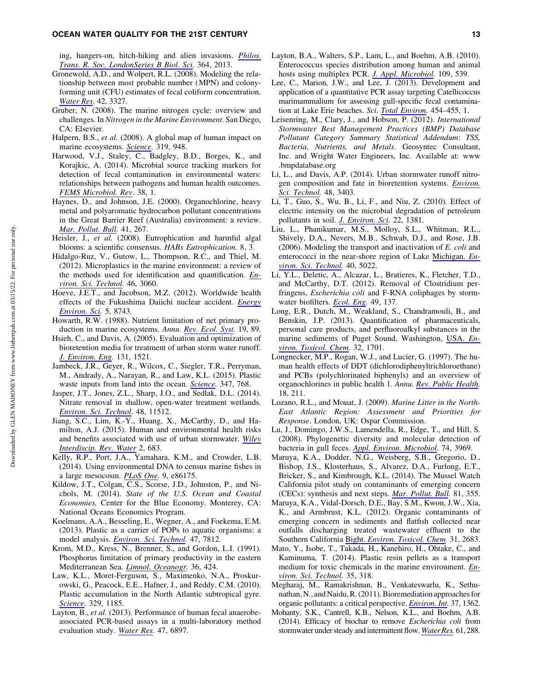#### OCEAN WATER QUALITY FOR THE 21ST CENTURY 13 AND 13 AND 13 AND 13 AND 13 AND 13 AND 13 AND 13

- Gronewold, A.D., and Wolpert, R.L. (2008). Modeling the relationship between most probable number (MPN) and colonyforming unit (CFU) estimates of fecal coliform concentration. *[Water Res](https://www.liebertpub.com/action/showLinks?pmid=18490046&crossref=10.1016%2Fj.watres.2008.04.011&citationId=p_532).* 42, 3327.
- Gruber, N. (2008). The marine nitrogen cycle: overview and challenges. In *Nitrogen in the Marine Environment*. San Diego, CA: Elsevier.
- Halpern, B.S., *et al.* (2008). A global map of human impact on marine ecosystems. *[Science](https://www.liebertpub.com/action/showLinks?pmid=18276889&crossref=10.1126%2Fscience.1149345&citationId=p_534).* 319, 948.
- Harwood, V.J., Staley, C., Badgley, B.D., Borges, K., and Korajkic, A. (2014). Microbial source tracking markers for detection of fecal contamination in environmental waters: relationships between pathogens and human health outcomes. *[FEMS Microbiol. Rev](https://www.liebertpub.com/action/showLinks?pmid=23815638&crossref=10.1111%2F1574-6976.12031&citationId=p_535)*. 38, 1.
- Haynes, D., and Johnson, J.E. (2000). Organochlorine, heavy metal and polyaromatic hydrocarbon pollutant concentrations in the Great Barrier Reef (Australia) environment: a review. *[Mar. Pollut. Bull](https://www.liebertpub.com/action/showLinks?crossref=10.1016%2FS0025-326X%2800%2900134-X&citationId=p_536).* 41, 267.
- Heisler, J., *et al.* (2008). Eutrophication and harmful algal blooms: a scientific consensus. *HABs Eutrophication.* 8, 3.
- Hidalgo-Ruz, V., Gutow, L., Thompson, R.C., and Thiel, M. (2012). Microplastics in the marine environment: a review of the methods used for identification and quantification. *[En](https://www.liebertpub.com/action/showLinks?pmid=22321064&crossref=10.1021%2Fes2031505&citationId=p_538)[viron. Sci. Technol.](https://www.liebertpub.com/action/showLinks?pmid=22321064&crossref=10.1021%2Fes2031505&citationId=p_538)* 46, 3060.
- Hoeve, J.E.T., and Jacobson, M.Z. (2012). Worldwide health effects of the Fukushima Daiichi nuclear accident. *[Energy](https://www.liebertpub.com/action/showLinks?crossref=10.1039%2Fc2ee22019a&citationId=p_539) [Environ. Sci.](https://www.liebertpub.com/action/showLinks?crossref=10.1039%2Fc2ee22019a&citationId=p_539)* 5, 8743.
- Howarth, R.W. (1988). Nutrient limitation of net primary production in marine ecosystems. *Annu. [Rev. Ecol. Syst](https://www.liebertpub.com/action/showLinks?crossref=10.1146%2Fannurev.es.19.110188.000513&citationId=p_540).* 19, 89.
- Hsieh, C., and Davis, A. (2005). Evaluation and optimization of bioretention media for treatment of urban storm water runoff. *[J. Environ. Eng.](https://www.liebertpub.com/action/showLinks?crossref=10.1061%2F%28ASCE%290733-9372%282005%29131%3A11%281521%29&citationId=p_541)* 131, 1521.
- Jambeck, J.R., Geyer, R., Wilcox, C., Siegler, T.R., Perryman, M., Andrady, A., Narayan, R., and Law, K.L. (2015). Plastic waste inputs from land into the ocean. *[Science](https://www.liebertpub.com/action/showLinks?pmid=25678662&crossref=10.1126%2Fscience.1260352&citationId=p_542).* 347, 768.
- Jasper, J.T., Jones, Z.L., Sharp, J.O., and Sedlak, D.L. (2014). Nitrate removal in shallow, open-water treatment wetlands. *[Environ. Sci. Technol](https://www.liebertpub.com/action/showLinks?pmid=25208126&crossref=10.1021%2Fes502785t&citationId=p_543)*. 48, 11512.
- Jiang, S.C., Lim, K.-Y., Huang, X., McCarthy, D., and Hamilton, A.J. (2015). Human and environmental health risks and benefits associated with use of urban stormwater. *[Wiley](https://www.liebertpub.com/action/showLinks?crossref=10.1002%2Fwat2.1107&citationId=p_544) [Interdiscip. Rev. Water](https://www.liebertpub.com/action/showLinks?crossref=10.1002%2Fwat2.1107&citationId=p_544)* 2, 683.
- Kelly, R.P., Port, J.A., Yamahara, K.M., and Crowder, L.B. (2014). Using environmental DNA to census marine fishes in a large mesocosm. *[PLoS One](https://www.liebertpub.com/action/showLinks?pmid=24454960&crossref=10.1371%2Fjournal.pone.0086175&citationId=p_545).* 9, e86175.
- Kildow, J.T., Colgan, C.S., Scorse, J.D., Johnston, P., and Nichols, M. (2014). *State of the U.S. Ocean and Coastal Economies,* Center for the Blue Economy. Monterey, CA: National Oceans Economics Program.
- Koelmans, A.A., Besseling, E., Wegner, A., and Foekema, E.M. (2013). Plastic as a carrier of POPs to aquatic organisms: a model analysis. *[Environ. Sci. Technol](https://www.liebertpub.com/action/showLinks?pmid=23758580&crossref=10.1021%2Fes401169n&citationId=p_547).* 47, 7812.
- Krom, M.D., Kress, N., Brenner, S., and Gordon, L.I. (1991). Phosphorus limitation of primary productivity in the eastern Mediterranean Sea. *[Limnol. Oceanogr](https://www.liebertpub.com/action/showLinks?crossref=10.4319%2Flo.1991.36.3.0424&citationId=p_548).* 36, 424.
- Law, K.L., Moret-Ferguson, S., Maximenko, N.A., Proskurowski, G., Peacock, E.E., Hafner, J., and Reddy, C.M. (2010). Plastic accumulation in the North Atlantic subtropical gyre. *[Science](https://www.liebertpub.com/action/showLinks?pmid=20724586&crossref=10.1126%2Fscience.1192321&citationId=p_549).* 329, 1185.
- Layton, B., *et al.* (2013). Performance of human fecal anaerobeassociated PCR-based assays in a multi-laboratory method evaluation study. *[Water Res.](https://www.liebertpub.com/action/showLinks?pmid=23992621&crossref=10.1016%2Fj.watres.2013.05.060&citationId=p_550)* 47, 6897.
- Layton, B.A., Walters, S.P., Lam, L., and Boehm, A.B. (2010). Enterococcus species distribution among human and animal hosts using multiplex PCR. *[J. Appl. Microbiol](https://www.liebertpub.com/action/showLinks?pmid=20132375&citationId=p_551).* 109, 539.
- Lee, C., Marion, J.W., and Lee, J. (2013). Development and application of a quantitative PCR assay targeting Catellicoccus marimammalium for assessing gull-specific fecal contamination at Lake Erie beaches. *Sci. [Total Environ.](https://www.liebertpub.com/action/showLinks?pmid=23542477&crossref=10.1016%2Fj.scitotenv.2013.03.003&citationId=p_552)* 454–455, 1.
- Leisenring, M., Clary, J., and Hobson, P. (2012). *International Stormwater Best Management Practices (BMP) Database Pollutant Category Summary Statistical Addendum*: *TSS, Bacteria, Nutrients, and Metals*. Geosyntec Consultant, Inc. and Wright Water Engineers, Inc. Available at: www .bmpdatabase.org
- Li, L., and Davis, A.P. (2014). Urban stormwater runoff nitrogen composition and fate in bioretention systems. *[Environ.](https://www.liebertpub.com/action/showLinks?pmid=24571092&crossref=10.1021%2Fes4055302&citationId=p_554) [Sci. Technol.](https://www.liebertpub.com/action/showLinks?pmid=24571092&crossref=10.1021%2Fes4055302&citationId=p_554)* 48, 3403.
- Li, T., Guo, S., Wu, B., Li, F., and Niu, Z. (2010). Effect of electric intensity on the microbial degradation of petroleum pollutants in soil. *[J. Environ. Sci.](https://www.liebertpub.com/action/showLinks?pmid=21174969&crossref=10.1016%2FS1001-0742%2809%2960265-5&citationId=p_555)* 22, 1381.
- Liu, L., Phanikumar, M.S., Molloy, S.L., Whitman, R.L., Shively, D.A., Nevers, M.B., Schwab, D.J., and Rose, J.B. (2006). Modeling the transport and inactivation of *E. coli* and enterococci in the near-shore region of Lake [Michigan.](https://www.liebertpub.com/action/showLinks?pmid=16955902&crossref=10.1021%2Fes060438k&citationId=p_556) *En[viron. Sci. Technol.](https://www.liebertpub.com/action/showLinks?pmid=16955902&crossref=10.1021%2Fes060438k&citationId=p_556)* 40, 5022.
- Li, Y.L., Deletic, A., Alcazar, L., Bratieres, K., Fletcher, T.D., and McCarthy, D.T. (2012). Removal of Clostridium perfringens, *Escherichia coli* and F-RNA coliphages by stormwater biofilters. *[Ecol. Eng.](https://www.liebertpub.com/action/showLinks?crossref=10.1016%2Fj.ecoleng.2012.08.007&citationId=p_557)* 49, 137.
- Long, E.R., Dutch, M., Weakland, S., Chandramouli, B., and Benskin, J.P. (2013). Quantification of pharmaceuticals, personal care products, and perfluoroalkyl substances in the marine sediments of Puget Sound, Washington, [USA.](https://www.liebertpub.com/action/showLinks?pmid=23843318&crossref=10.1002%2Fetc.2281&citationId=p_558) *En[viron. Toxicol. Chem](https://www.liebertpub.com/action/showLinks?pmid=23843318&crossref=10.1002%2Fetc.2281&citationId=p_558).* 32, 1701.
- Longnecker, M.P., Rogan, W.J., and Lucier, G. (1997). The human health effects of DDT (dichlorodiphenyltrichloroethane) and PCBs (polychlorinated biphenyls) and an overview of organochlorines in public health 1. *Annu. [Rev. Public Health.](https://www.liebertpub.com/action/showLinks?pmid=9143718&crossref=10.1146%2Fannurev.publhealth.18.1.211&citationId=p_559)* 18, 211.
- Lozano, R.L., and Mouat, J. (2009). *Marine Litter in the North-East Atlantic Region: Assessment and Priorities for Response*. London, UK: Ospar Commission.
- Lu, J., Domingo, J.W.S., Lamendella, R., Edge, T., and Hill, S. (2008). Phylogenetic diversity and molecular detection of bacteria in gull feces. *[Appl. Environ. Microbiol](https://www.liebertpub.com/action/showLinks?pmid=18469128&crossref=10.1128%2FAEM.00019-08&citationId=p_561).* 74, 3969.
- Maruya, K.A., Dodder, N.G., Weisberg, S.B., Gregorio, D., Bishop, J.S., Klosterhaus, S., Alvarez, D.A., Furlong, E.T., Bricker, S., and Kimbrough, K.L. (2014). The Mussel Watch California pilot study on contaminants of emerging concern (CECs): synthesis and next steps. *[Mar. Pollut. Bull](https://www.liebertpub.com/action/showLinks?pmid=23731723&crossref=10.1016%2Fj.marpolbul.2013.04.023&citationId=p_562).* 81, 355.
- Maruya, K.A., Vidal-Dorsch, D.E., Bay, S.M., Kwon, J.W., Xia, K., and Armbrust, K.L. (2012). Organic contaminants of emerging concern in sediments and flatfish collected near outfalls discharging treated wastewater effluent to the Southern California Bight. *[Environ. Toxicol. Chem](https://www.liebertpub.com/action/showLinks?pmid=22987513&crossref=10.1002%2Fetc.2003&citationId=p_563).* 31, 2683.
- Mato, Y., Isobe, T., Takada, H., Kanehiro, H., Ohtake, C., and Kaminuma, T. (2014). Plastic resin pellets as a transport medium for toxic chemicals in the marine environment. *[En](https://www.liebertpub.com/action/showLinks?crossref=10.1021%2Fes0010498&citationId=p_564)[viron. Sci. Technol.](https://www.liebertpub.com/action/showLinks?crossref=10.1021%2Fes0010498&citationId=p_564)* 35, 318.
- Megharaj, M., Ramakrishnan, B., Venkateswarlu, K., Sethunathan, N., and Naidu, R. (2011). Bioremediation approaches for organic pollutants: a critical perspective. *[Environ. Int.](https://www.liebertpub.com/action/showLinks?pmid=21722961&crossref=10.1016%2Fj.envint.2011.06.003&citationId=p_565)* 37, 1362.
- Mohanty, S.K., Cantrell, K.B., Nelson, K.L., and Boehm, A.B. (2014). Efficacy of biochar to remove *Escherichia coli* from stormwater under steady and intermittent flow. *[Water Res](https://www.liebertpub.com/action/showLinks?pmid=24952272&crossref=10.1016%2Fj.watres.2014.05.026&citationId=p_566).* 61, 288.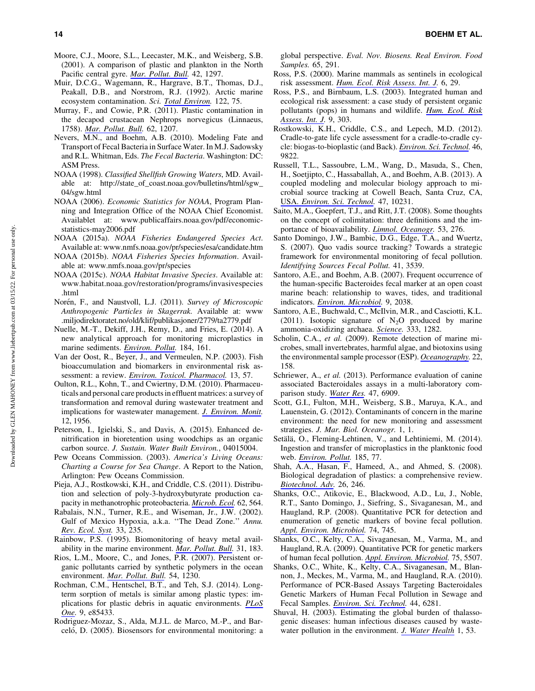- Moore, C.J., Moore, S.L., Leecaster, M.K., and Weisberg, S.B. (2001). A comparison of plastic and plankton in the North Pacific central gyre. *[Mar. Pollut. Bull](https://www.liebertpub.com/action/showLinks?pmid=11827116&crossref=10.1016%2FS0025-326X%2801%2900114-X&citationId=p_567).* 42, 1297.
- Muir, D.C.G., Wagemann, R., Hargrave, B.T., Thomas, D.J., Peakall, D.B., and Norstrom, R.J. (1992). Arctic marine ecosystem contamination. *Sci. [Total Environ.](https://www.liebertpub.com/action/showLinks?pmid=1514106&crossref=10.1016%2F0048-9697%2892%2990246-O&citationId=p_568)* 122, 75.
- Murray, F., and Cowie, P.R. (2011). Plastic contamination in the decapod crustacean Nephrops norvegicus (Linnaeus, 1758). *[Mar. Pollut. Bull.](https://www.liebertpub.com/action/showLinks?pmid=21497854&crossref=10.1016%2Fj.marpolbul.2011.03.032&citationId=p_569)* 62, 1207.
- Nevers, M.N., and Boehm, A.B. (2010). Modeling Fate and Transport of Fecal Bacteria in Surface Water. In M.J. Sadowsky and R.L. Whitman, Eds. *The Fecal Bacteria*. Washington: DC: ASM Press.
- NOAA (1998). *Classified Shellfish Growing Waters*, MD. Available at: http://state\_of\_coast.noaa.gov/bulletins/html/sgw\_ 04/sgw.html
- NOAA (2006). *Economic Statistics for NOAA*, Program Planning and Integration Office of the NOAA Chief Economist. Availablet at: www.publicaffairs.noaa.gov/pdf/economicstatistics-may2006.pdf
- NOAA (2015a). *NOAA Fisheries Endangered Species Act*. Available at: www.nmfs.noaa.gov/pr/species/esa/candidate.htm
- NOAA (2015b). *NOAA Fisheries Species Information*. Available at: www.nmfs.noaa.gov/pr/species
- NOAA (2015c). *NOAA Habitat Invasive Species*. Available at: www.habitat.noaa.gov/restoration/programs/invasivespecies .html
- Norén, F., and Naustvoll, L.J. (2011). *Survey of Microscopic Anthropogenic Particles in Skagerrak*. Available at: www .miljodirektoratet.no/old/klif/publikasjoner/2779/ta2779.pdf
- Nuelle, M.-T., Dekiff, J.H., Remy, D., and Fries, E. (2014). A new analytical approach for monitoring microplastics in marine sediments. *[Environ. Pollut](https://www.liebertpub.com/action/showLinks?pmid=24051349&crossref=10.1016%2Fj.envpol.2013.07.027&citationId=p_577).* 184, 161.
- Van der Oost, R., Beyer, J., and Vermeulen, N.P. (2003). Fish bioaccumulation and biomarkers in environmental risk assessment: a review. *[Environ. Toxicol. Pharmacol.](https://www.liebertpub.com/action/showLinks?pmid=21782649&crossref=10.1016%2FS1382-6689%2802%2900126-6&citationId=p_578)* 13, 57.
- Oulton, R.L., Kohn, T., and Cwiertny, D.M. (2010). Pharmaceuticals and personal care products in effluent matrices: a survey of transformation and removal during wastewater treatment and implications for wastewater management. *[J. Environ. Monit.](https://www.liebertpub.com/action/showLinks?pmid=20938541&crossref=10.1039%2Fc0em00068j&citationId=p_579)* 12, 1956.
- Peterson, I., Igielski, S., and Davis, A. (2015). Enhanced denitrification in bioretention using woodchips as an organic carbon source. *J. Sustain. Water Built Environ.*, 04015004.
- Pew Oceans Commission. (2003). *America's Living Oceans: Charting a Course for Sea Change*. A Report to the Nation, Arlington: Pew Oceans Commission.
- Pieja, A.J., Rostkowski, K.H., and Criddle, C.S. (2011). Distribution and selection of poly-3-hydroxybutyrate production capacity in methanotrophic proteobacteria. *[Microb. Ecol.](https://www.liebertpub.com/action/showLinks?pmid=21594594&crossref=10.1007%2Fs00248-011-9873-0&citationId=p_582)* 62, 564.
- Rabalais, N.N., Turner, R.E., and Wiseman, Jr., J.W. (2002). Gulf of Mexico Hypoxia, a.k.a. ''The Dead Zone.'' *Annu. [Rev. Ecol. Syst](https://www.liebertpub.com/action/showLinks?crossref=10.1146%2Fannurev.ecolsys.33.010802.150513&citationId=p_583).* 33, 235.
- Rainbow, P.S. (1995). Biomonitoring of heavy metal availability in the marine environment. *[Mar. Pollut. Bull.](https://www.liebertpub.com/action/showLinks?crossref=10.1016%2F0025-326X%2895%2900116-5&citationId=p_584)* 31, 183.
- Rios, L.M., Moore, C., and Jones, P.R. (2007). Persistent organic pollutants carried by synthetic polymers in the ocean environment. *[Mar. Pollut. Bull](https://www.liebertpub.com/action/showLinks?pmid=17532349&crossref=10.1016%2Fj.marpolbul.2007.03.022&citationId=p_585).* 54, 1230.
- Rochman, C.M., Hentschel, B.T., and Teh, S.J. (2014). Longterm sorption of metals is similar among plastic types: implications for plastic debris in aquatic environments. *[PLoS](https://www.liebertpub.com/action/showLinks?pmid=24454866&crossref=10.1371%2Fjournal.pone.0085433&citationId=p_586) [One.](https://www.liebertpub.com/action/showLinks?pmid=24454866&crossref=10.1371%2Fjournal.pone.0085433&citationId=p_586)* 9, e85433.
- Rodriguez-Mozaz, S., Alda, M.J.L. de Marco, M.-P., and Barceló, D. (2005). Biosensors for environmental monitoring: a

global perspective. *Eval. Nov. Biosens. Real Environ. Food Samples.* 65, 291.

- Ross, P.S. (2000). Marine mammals as sentinels in ecological risk assessment. *[Hum. Ecol. Risk Assess. Int. J.](https://www.liebertpub.com/action/showLinks?crossref=10.1080%2F10807030091124437&citationId=p_588)* 6, 29.
- Ross, P.S., and Birnbaum, L.S. (2003). Integrated human and ecological risk assessment: a case study of persistent organic pollutants (pops) in humans and wildlife. *[Hum. Ecol. Risk](https://www.liebertpub.com/action/showLinks?crossref=10.1080%2F727073292&citationId=p_589) [Assess. Int. J.](https://www.liebertpub.com/action/showLinks?crossref=10.1080%2F727073292&citationId=p_589)* 9, 303.
- Rostkowski, K.H., Criddle, C.S., and Lepech, M.D. (2012). Cradle-to-gate life cycle assessment for a cradle-to-cradle cycle: biogas-to-bioplastic (and Back). *[Environ. Sci. Technol](https://www.liebertpub.com/action/showLinks?pmid=22775327&citationId=p_590).* 46, 9822.
- Russell, T.L., Sassoubre, L.M., Wang, D., Masuda, S., Chen, H., Soetjipto, C., Hassaballah, A., and Boehm, A.B. (2013). A coupled modeling and molecular biology approach to microbial source tracking at Cowell Beach, Santa Cruz, CA, USA. *[Environ. Sci. Technol.](https://www.liebertpub.com/action/showLinks?pmid=23924260&citationId=p_591)* 47, 10231.
- Saito, M.A., Goepfert, T.J., and Ritt, J.T. (2008). Some thoughts on the concept of colimitation: three definitions and the importance of bioavailability. *[Limnol. Oceanogr.](https://www.liebertpub.com/action/showLinks?crossref=10.4319%2Flo.2008.53.1.0276&citationId=p_592)* 53, 276.
- Santo Domingo, J.W., Bambic, D.G., Edge, T.A., and Wuertz, S. (2007). Quo vadis source tracking? Towards a strategic framework for environmental monitoring of fecal pollution. *Identifying Sources Fecal Pollut.* 41, 3539.
- Santoro, A.E., and Boehm, A.B. (2007). Frequent occurrence of the human-specific Bacteroides fecal marker at an open coast marine beach: relationship to waves, tides, and traditional indicators. *[Environ. Microbiol](https://www.liebertpub.com/action/showLinks?pmid=17635548&crossref=10.1111%2Fj.1462-2920.2007.01319.x&citationId=p_594).* 9, 2038.
- Santoro, A.E., Buchwald, C., McIlvin, M.R., and Casciotti, K.L. (2011). Isotopic signature of  $N_2O$  produced by marine ammonia-oxidizing archaea. *[Science](https://www.liebertpub.com/action/showLinks?pmid=21798895&crossref=10.1126%2Fscience.1208239&citationId=p_595).* 333, 1282.
- Scholin, C.A., *et al.* (2009). Remote detection of marine microbes, small invertebrates, harmful algae, and biotoxins using the environmental sample processor (ESP). *[Oceanography.](https://www.liebertpub.com/action/showLinks?crossref=10.5670%2Foceanog.2009.46&citationId=p_596)* 22, 158.
- Schriewer, A., *et al.* (2013). Performance evaluation of canine associated Bacteroidales assays in a multi-laboratory comparison study. *[Water Res.](https://www.liebertpub.com/action/showLinks?pmid=23916711&crossref=10.1016%2Fj.watres.2013.03.062&citationId=p_597)* 47, 6909.
- Scott, G.I., Fulton, M.H., Weisberg, S.B., Maruya, K.A., and Lauenstein, G. (2012). Contaminants of concern in the marine environment: the need for new monitoring and assessment strategies. *J. Mar. Biol. Oceanogr.* 1, 1.
- Setälä, O., Fleming-Lehtinen, V., and Lehtiniemi, M. (2014). Ingestion and transfer of microplastics in the planktonic food web. *[Environ. Pollut](https://www.liebertpub.com/action/showLinks?pmid=24220023&crossref=10.1016%2Fj.envpol.2013.10.013&citationId=p_599).* 185, 77.
- Shah, A.A., Hasan, F., Hameed, A., and Ahmed, S. (2008). Biological degradation of plastics: a comprehensive review. *[Biotechnol. Adv.](https://www.liebertpub.com/action/showLinks?pmid=18337047&crossref=10.1016%2Fj.biotechadv.2007.12.005&citationId=p_600)* 26, 246.
- Shanks, O.C., Atikovic, E., Blackwood, A.D., Lu, J., Noble, R.T., Santo Domingo, J., Siefring, S., Sivaganesan, M., and Haugland, R.P. (2008). Quantitative PCR for detection and enumeration of genetic markers of bovine fecal pollution. *[Appl. Environ. Microbiol](https://www.liebertpub.com/action/showLinks?pmid=18065617&crossref=10.1128%2FAEM.01843-07&citationId=p_601).* 74, 745.
- Shanks, O.C., Kelty, C.A., Sivaganesan, M., Varma, M., and Haugland, R.A. (2009). Quantitative PCR for genetic markers of human fecal pollution. *[Appl. Environ. Microbiol](https://www.liebertpub.com/action/showLinks?pmid=19592537&crossref=10.1128%2FAEM.00305-09&citationId=p_602).* 75, 5507.
- Shanks, O.C., White, K., Kelty, C.A., Sivaganesan, M., Blannon, J., Meckes, M., Varma, M., and Haugland, R.A. (2010). Performance of PCR-Based Assays Targeting Bacteroidales Genetic Markers of Human Fecal Pollution in Sewage and Fecal Samples. *[Environ. Sci. Technol.](https://www.liebertpub.com/action/showLinks?pmid=20704227&crossref=10.1021%2Fes100311n&citationId=p_603)* 44, 6281.
- Shuval, H. (2003). Estimating the global burden of thalassogenic diseases: human infectious diseases caused by wastewater pollution in the environment. *[J. Water Health](https://www.liebertpub.com/action/showLinks?pmid=15382734&crossref=10.2166%2Fwh.2003.0007&citationId=p_604)* 1, 53.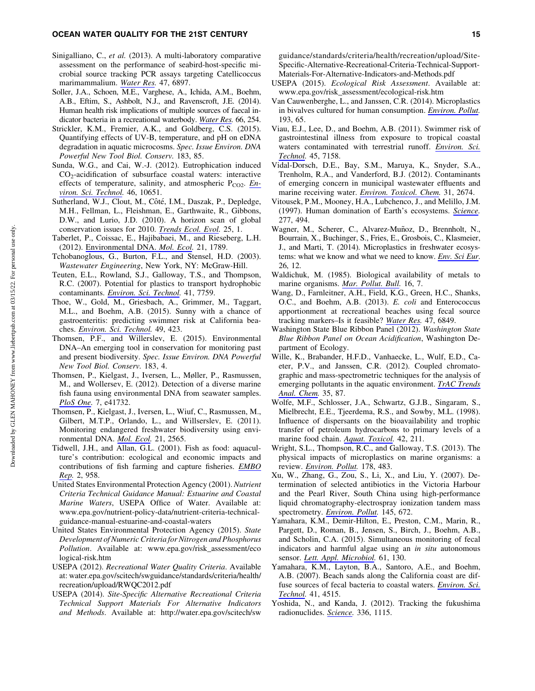- Sinigalliano, C., *et al.* (2013). A multi-laboratory comparative assessment on the performance of seabird-host-specific microbial source tracking PCR assays targeting Catellicoccus marimammalium. *[Water Res](https://www.liebertpub.com/action/showLinks?pmid=23992621&crossref=10.1016%2Fj.watres.2013.02.059&citationId=p_605).* 47, 6897.
- Soller, J.A., Schoen, M.E., Varghese, A., Ichida, A.M., Boehm, A.B., Eftim, S., Ashbolt, N.J., and Ravenscroft, J.E. (2014). Human health risk implications of multiple sources of faecal indicator bacteria in a recreational waterbody. *[Water Res](https://www.liebertpub.com/action/showLinks?pmid=25222329&crossref=10.1016%2Fj.watres.2014.08.026&citationId=p_606).* 66, 254.
- Strickler, K.M., Fremier, A.K., and Goldberg, C.S. (2015). Quantifying effects of UV-B, temperature, and pH on eDNA degradation in aquatic microcosms. *Spec. Issue Environ. DNA Powerful New Tool Biol. Conserv.* 183, 85.
- Sunda, W.G., and Cai, W.-J. (2012). Eutrophication induced  $CO<sub>2</sub>$ -acidification of subsurface coastal waters: interactive effects of temperature, salinity, and atmospheric P<sub>CO2</sub>. *[En](https://www.liebertpub.com/action/showLinks?pmid=22889106&crossref=10.1021%2Fes300626f&citationId=p_608)[viron. Sci. Technol.](https://www.liebertpub.com/action/showLinks?pmid=22889106&crossref=10.1021%2Fes300626f&citationId=p_608)* 46, 10651.
- Sutherland, W.J., Clout, M., Côté, I.M., Daszak, P., Depledge, M.H., Fellman, L., Fleishman, E., Garthwaite, R., Gibbons, D.W., and Lurio, J.D. (2010). A horizon scan of global conservation issues for 2010. *[Trends Ecol. Evol](https://www.liebertpub.com/action/showLinks?pmid=19939492&crossref=10.1016%2Fj.tree.2009.10.003&citationId=p_609).* 25, 1.
- Taberlet, P., Coissac, E., Hajibabaei, M., and Rieseberg, L.H. (2012). [Environmental DNA.](https://www.liebertpub.com/action/showLinks?pmid=22486819&crossref=10.1111%2Fj.1365-294X.2012.05542.x&citationId=p_610) *Mol. Ecol.* 21, 1789.
- Tchobanoglous, G., Burton, F.L., and Stensel, H.D. (2003). *Wastewater Engineering*, New York, NY: McGraw-Hill.
- Teuten, E.L., Rowland, S.J., Galloway, T.S., and Thompson, R.C. (2007). Potential for plastics to transport hydrophobic contaminants. *[Environ. Sci. Technol.](https://www.liebertpub.com/action/showLinks?pmid=18075085&crossref=10.1021%2Fes071737s&citationId=p_612)* 41, 7759.
- Thoe, W., Gold, M., Griesbach, A., Grimmer, M., Taggart, M.L., and Boehm, A.B. (2015). Sunny with a chance of gastroenteritis: predicting swimmer risk at California beaches. *[Environ. Sci. Technol](https://www.liebertpub.com/action/showLinks?pmid=25489920&crossref=10.1021%2Fes504701j&citationId=p_613).* 49, 423.
- Thomsen, P.F., and Willerslev, E. (2015). Environmental DNA–An emerging tool in conservation for monitoring past and present biodiversity. *Spec. Issue Environ. DNA Powerful New Tool Biol. Conserv.* 183, 4.
- Thomsen, P., Kielgast, J., Iversen, L., Møller, P., Rasmussen, M., and Wollersev, E. (2012). Detection of a diverse marine fish fauna using environmental DNA from seawater samples. *[PloS One](https://www.liebertpub.com/action/showLinks?pmid=22952584&crossref=10.1371%2Fjournal.pone.0041732&citationId=p_615).* 7, e41732.
- Thomsen, P., Kielgast, J., Iversen, L., Wiuf, C., Rasmussen, M., Gilbert, M.T.P., Orlando, L., and Willserslev, E. (2011). Monitoring endangered freshwater biodiversity using environmental DNA. *[Mol. Ecol.](https://www.liebertpub.com/action/showLinks?pmid=22151771&crossref=10.1111%2Fj.1365-294X.2011.05418.x&citationId=p_616)* 21, 2565.
- Tidwell, J.H., and Allan, G.L. (2001). Fish as food: aquaculture's contribution: ecological and economic impacts and contributions of fish farming and capture fisheries. *[EMBO](https://www.liebertpub.com/action/showLinks?pmid=11713181&crossref=10.1093%2Fembo-reports%2Fkve236&citationId=p_617) [Rep](https://www.liebertpub.com/action/showLinks?pmid=11713181&crossref=10.1093%2Fembo-reports%2Fkve236&citationId=p_617).* 2, 958.
- United States Environmental Protection Agency (2001). *Nutrient Criteria Technical Guidance Manual: Estuarine and Coastal Marine Waters*, USEPA Office of Water. Available at: www.epa.gov/nutrient-policy-data/nutrient-criteria-technicalguidance-manual-estuarine-and-coastal-waters
- United States Environmental Protection Agency (2015). *State Development of Numeric Criteria for Nitrogen and Phosphorus Pollution*. Available at: www.epa.gov/risk\_assessment/eco logical-risk.htm
- USEPA (2012). *Recreational Water Quality Criteria*. Available at: water.epa.gov/scitech/swguidance/standards/criteria/health/ recreation/upload/RWQC2012.pdf
- USEPA (2014). *Site-Specific Alternative Recreational Criteria Technical Support Materials For Alternative Indicators and Methods*. Available at: http://water.epa.gov/scitech/sw

guidance/standards/criteria/health/recreation/upload/Site-Specific-Alternative-Recreational-Criteria-Technical-Support-Materials-For-Alternative-Indicators-and-Methods.pdf

- USEPA (2015). *Ecological Risk Assessment*. Available at: www.epa.gov/risk\_assessment/ecological-risk.htm
- Van Cauwenberghe, L., and Janssen, C.R. (2014). Microplastics in bivalves cultured for human consumption. *[Environ. Pollut.](https://www.liebertpub.com/action/showLinks?pmid=25005888&crossref=10.1016%2Fj.envpol.2014.06.010&citationId=p_623)* 193, 65.
- Viau, E.J., Lee, D., and Boehm, A.B. (2011). Swimmer risk of gastrointestinal illness from exposure to tropical coastal waters contaminated with terrestrial runoff. *[Environ. Sci.](https://www.liebertpub.com/action/showLinks?pmid=21780808&crossref=10.1021%2Fes200984b&citationId=p_624) [Technol](https://www.liebertpub.com/action/showLinks?pmid=21780808&crossref=10.1021%2Fes200984b&citationId=p_624).* 45, 7158.
- Vidal-Dorsch, D.E., Bay, S.M., Maruya, K., Snyder, S.A., Trenholm, R.A., and Vanderford, B.J. (2012). Contaminants of emerging concern in municipal wastewater effluents and marine receiving water. *[Environ. Toxicol. Chem.](https://www.liebertpub.com/action/showLinks?pmid=22987561&crossref=10.1002%2Fetc.2004&citationId=p_625)* 31, 2674.
- Vitousek, P.M., Mooney, H.A., Lubchenco, J., and Melillo, J.M. (1997). Human domination of Earth's ecosystems. *[Science.](https://www.liebertpub.com/action/showLinks?crossref=10.1126%2Fscience.277.5325.494&citationId=p_626)* 277, 494.
- Wagner, M., Scherer, C., Alvarez-Muñoz, D., Brennholt, N., Bourrain, X., Buchinger, S., Fries, E., Grosbois, C., Klasmeier, J., and Marti, T. (2014). Microplastics in freshwater ecosystems: what we know and what we need to know. *[Env. Sci Eur](https://www.liebertpub.com/action/showLinks?pmid=28936382&crossref=10.1186%2Fs12302-014-0012-7&citationId=p_627)*. 26, 12.
- Waldichuk, M. (1985). Biological availability of metals to marine organisms. *[Mar. Pollut. Bull.](https://www.liebertpub.com/action/showLinks?crossref=10.1016%2F0025-326X%2885%2990252-8&citationId=p_628)* 16, 7.
- Wang, D., Farnleitner, A.H., Field, K.G., Green, H.C., Shanks, O.C., and Boehm, A.B. (2013). *E. coli* and Enterococcus apportionment at recreational beaches using fecal source tracking markers–Is it feasible? *[Water Res](https://www.liebertpub.com/action/showLinks?pmid=23890872&crossref=10.1016%2Fj.watres.2013.02.058&citationId=p_629).* 47, 6849.
- Washington State Blue Ribbon Panel (2012). *Washington State Blue Ribbon Panel on Ocean Acidification*, Washington Department of Ecology.
- Wille, K., Brabander, H.F.D., Vanhaecke, L., Wulf, E.D., Caeter, P.V., and Janssen, C.R. (2012). Coupled chromatographic and mass-spectrometric techniques for the analysis of emerging pollutants in the aquatic environment. *[TrAC Trends](https://www.liebertpub.com/action/showLinks?crossref=10.1016%2Fj.trac.2011.12.003&citationId=p_631) [Anal. Chem.](https://www.liebertpub.com/action/showLinks?crossref=10.1016%2Fj.trac.2011.12.003&citationId=p_631)* 35, 87.
- Wolfe, M.F., Schlosser, J.A., Schwartz, G.J.B., Singaram, S., Mielbrecht, E.E., Tjeerdema, R.S., and Sowby, M.L. (1998). Influence of dispersants on the bioavailability and trophic transfer of petroleum hydrocarbons to primary levels of a marine food chain. *[Aquat. Toxicol.](https://www.liebertpub.com/action/showLinks?crossref=10.1016%2FS0166-445X%2897%2900096-9&citationId=p_632)* 42, 211.
- Wright, S.L., Thompson, R.C., and Galloway, T.S. (2013). The physical impacts of microplastics on marine organisms: a review. *[Environ. Pollut](https://www.liebertpub.com/action/showLinks?pmid=23545014&crossref=10.1016%2Fj.envpol.2013.02.031&citationId=p_633).* 178, 483.
- Xu, W., Zhang, G., Zou, S., Li, X., and Liu, Y. (2007). Determination of selected antibiotics in the Victoria Harbour and the Pearl River, South China using high-performance liquid chromatography-electrospray ionization tandem mass spectrometry. *[Environ. Pollut](https://www.liebertpub.com/action/showLinks?pmid=16996177&crossref=10.1016%2Fj.envpol.2006.05.038&citationId=p_634).* 145, 672.
- Yamahara, K.M., Demir-Hilton, E., Preston, C.M., Marin, R., Pargett, D., Roman, B., Jensen, S., Birch, J., Boehm, A.B., and Scholin, C.A. (2015). Simultaneous monitoring of fecal indicators and harmful algae using an *in situ* autonomous sensor. *[Lett. Appl. Microbiol](https://www.liebertpub.com/action/showLinks?pmid=25900660&crossref=10.1111%2Flam.12432&citationId=p_635).* 61, 130.
- Yamahara, K.M., Layton, B.A., Santoro, A.E., and Boehm, A.B. (2007). Beach sands along the California coast are diffuse sources of fecal bacteria to coastal waters. *[Environ. Sci.](https://www.liebertpub.com/action/showLinks?pmid=17695890&crossref=10.1021%2Fes062822n&citationId=p_636) [Technol](https://www.liebertpub.com/action/showLinks?pmid=17695890&crossref=10.1021%2Fes062822n&citationId=p_636).* 41, 4515.
- Yoshida, N., and Kanda, J. (2012). Tracking the fukushima radionuclides. *[Science](https://www.liebertpub.com/action/showLinks?pmid=22654046&crossref=10.1126%2Fscience.1219493&citationId=p_637).* 336, 1115.